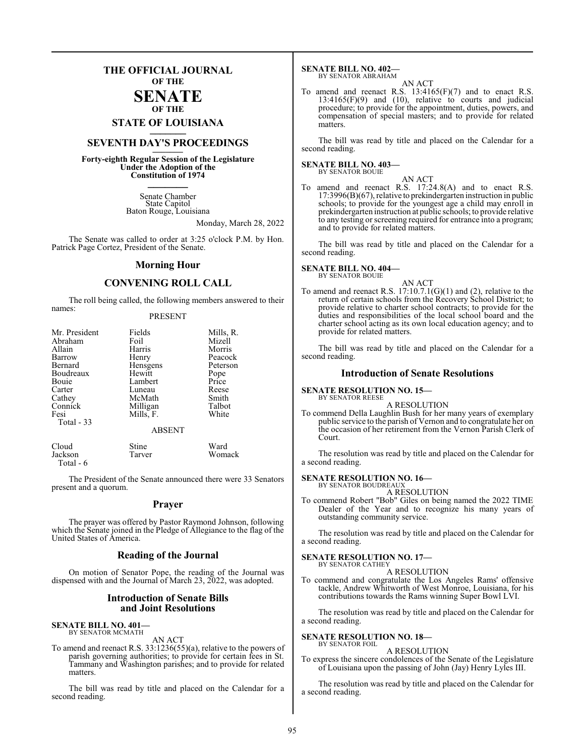## **THE OFFICIAL JOURNAL OF THE**

### **SENATE OF THE**

# **STATE OF LOUISIANA \_\_\_\_\_\_\_**

## **SEVENTH DAY'S PROCEEDINGS \_\_\_\_\_\_\_**

**Forty-eighth Regular Session of the Legislature Under the Adoption of the Constitution of 1974 \_\_\_\_\_\_\_**

> Senate Chamber State Capitol Baton Rouge, Louisiana

> > Monday, March 28, 2022

The Senate was called to order at 3:25 o'clock P.M. by Hon. Patrick Page Cortez, President of the Senate.

### **Morning Hour**

### **CONVENING ROLL CALL**

The roll being called, the following members answered to their names:

### PRESENT

| Mr. President | Fields        | Mills, R. |
|---------------|---------------|-----------|
| Abraham       | Foil          | Mizell    |
| Allain        | Harris        | Morris    |
| Barrow        | Henry         | Peacock   |
| Bernard       | Hensgens      | Peterson  |
| Boudreaux     | Hewitt        | Pope      |
| Bouie         | Lambert       | Price     |
| Carter        | Luneau        | Reese     |
| Cathey        | McMath        | Smith     |
| Connick       | Milligan      | Talbot    |
| Fesi          | Mills, F.     | White     |
| Total - 33    |               |           |
|               | <b>ABSENT</b> |           |
| ____          |               | $- - -$   |

| Cloud     | Stine  | Ward   |
|-----------|--------|--------|
| Jackson   | Tarver | Womack |
| Total - 6 |        |        |

The President of the Senate announced there were 33 Senators present and a quorum.

### **Prayer**

The prayer was offered by Pastor Raymond Johnson, following which the Senate joined in the Pledge of Allegiance to the flag of the United States of America.

### **Reading of the Journal**

On motion of Senator Pope, the reading of the Journal was dispensed with and the Journal of March 23, 2022, was adopted.

### **Introduction of Senate Bills and Joint Resolutions**

### **SENATE BILL NO. 401—** BY SENATOR MCMATH

AN ACT

To amend and reenact R.S. 33:1236(55)(a), relative to the powers of parish governing authorities; to provide for certain fees in St. Tammany and Washington parishes; and to provide for related matters.

The bill was read by title and placed on the Calendar for a second reading.

### **SENATE BILL NO. 402—** BY SENATOR ABRAHAM

AN ACT

To amend and reenact R.S.  $13:4165(F)(7)$  and to enact R.S.  $13:4165(F)(9)$  and  $(10)$ , relative to courts and judicial procedure; to provide for the appointment, duties, powers, and compensation of special masters; and to provide for related matters

The bill was read by title and placed on the Calendar for a second reading.

### **SENATE BILL NO. 403—** BY SENATOR BOUIE

AN ACT To amend and reenact R.S. 17:24.8(A) and to enact R.S. 17:3996(B)(67), relative to prekindergarten instruction in public schools; to provide for the youngest age a child may enroll in prekindergarten instruction at public schools; to provide relative to any testing or screening required for entrance into a program; and to provide for related matters.

The bill was read by title and placed on the Calendar for a second reading.

### **SENATE BILL NO. 404—** BY SENATOR BOUIE

AN ACT

To amend and reenact R.S. 17:10.7.1(G)(1) and (2), relative to the return of certain schools from the Recovery School District; to provide relative to charter school contracts; to provide for the duties and responsibilities of the local school board and the charter school acting as its own local education agency; and to provide for related matters.

The bill was read by title and placed on the Calendar for a second reading.

### **Introduction of Senate Resolutions**

### **SENATE RESOLUTION NO. 15—** BY SENATOR REESE

A RESOLUTION

To commend Della Laughlin Bush for her many years of exemplary public service to the parish of Vernon and to congratulate her on the occasion of her retirement from the Vernon Parish Clerk of Court.

The resolution was read by title and placed on the Calendar for a second reading.

### **SENATE RESOLUTION NO. 16—**

BY SENATOR BOUDREAUX A RESOLUTION

To commend Robert "Bob" Giles on being named the 2022 TIME Dealer of the Year and to recognize his many years of outstanding community service.

The resolution was read by title and placed on the Calendar for a second reading.

## **SENATE RESOLUTION NO. 17—**<br>BY SENATOR CATHEY

A RESOLUTION

To commend and congratulate the Los Angeles Rams' offensive tackle, Andrew Whitworth of West Monroe, Louisiana, for his contributions towards the Rams winning Super Bowl LVI.

The resolution was read by title and placed on the Calendar for a second reading.

### **SENATE RESOLUTION NO. 18—** BY SENATOR FOIL

A RESOLUTION

To express the sincere condolences of the Senate of the Legislature of Louisiana upon the passing of John (Jay) Henry Lyles III.

The resolution was read by title and placed on the Calendar for a second reading.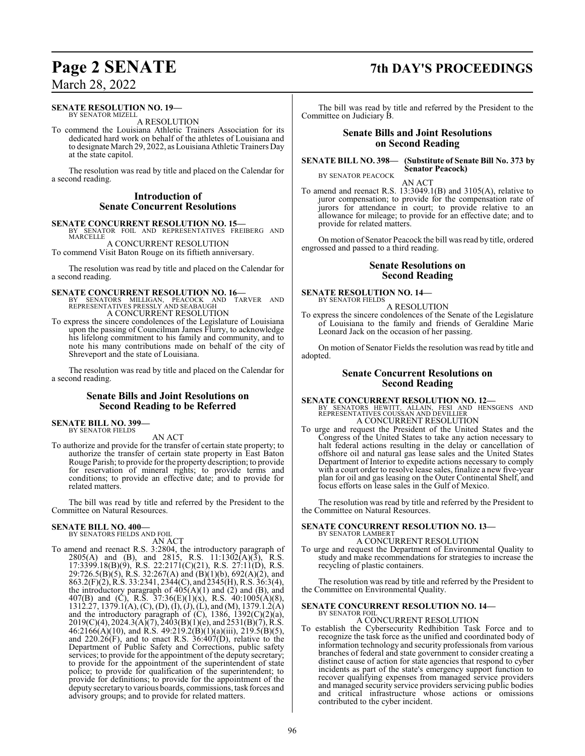### **SENATE RESOLUTION NO. 19—**

BY SENATOR MIZELL A RESOLUTION

To commend the Louisiana Athletic Trainers Association for its dedicated hard work on behalf of the athletes of Louisiana and to designate March 29, 2022, as Louisiana Athletic Trainers Day at the state capitol.

The resolution was read by title and placed on the Calendar for a second reading.

### **Introduction of Senate Concurrent Resolutions**

**SENATE CONCURRENT RESOLUTION NO. 15—<br>BY SENATOR FOIL AND REPRESENTATIVES FREIBERG AND MARCELLE** 

A CONCURRENT RESOLUTION

To commend Visit Baton Rouge on its fiftieth anniversary.

The resolution was read by title and placed on the Calendar for a second reading.

**SENATE CONCURRENT RESOLUTION NO. 16—**<br>BY SENATORS MILLIGAN, PEACOCK AND TARVER AND<br>REPRESENTATIVES PRESSLY AND SEABAUGH A CONCURRENT RESOLUTION

To express the sincere condolences of the Legislature of Louisiana upon the passing of Councilman James Flurry, to acknowledge his lifelong commitment to his family and community, and to note his many contributions made on behalf of the city of Shreveport and the state of Louisiana.

The resolution was read by title and placed on the Calendar for a second reading.

### **Senate Bills and Joint Resolutions on Second Reading to be Referred**

### **SENATE BILL NO. 399** BY SENATOR FIELDS

AN ACT

To authorize and provide for the transfer of certain state property; to authorize the transfer of certain state property in East Baton Rouge Parish; to provide for the property description; to provide for reservation of mineral rights; to provide terms and conditions; to provide an effective date; and to provide for related matters.

The bill was read by title and referred by the President to the Committee on Natural Resources.

### **SENATE BILL NO. 400—**

BY SENATORS FIELDS AND FOIL AN ACT

To amend and reenact R.S. 3:2804, the introductory paragraph of 2805(A) and (B), and 2815, R.S. 11:1302(A)(3), R.S. 17:3399.18(B)(9), R.S. 22:2171(C)(21), R.S. 27:11(D), R.S. 29:726.5(B)(5), R.S. 32:267(A) and (B)(1)(b), 692(A)(2), and 863.2(F)(2), R.S. 33:2341, 2344(C), and 2345(H), R.S. 36:3(4), the introductory paragraph of  $405(A)(1)$  and  $(2)$  and  $(B)$ , and 407(B) and (C), R.S.  $37:36(E)(1)(x)$ , R.S.  $40:1005(A)(8)$ , 1312.27, 1379.1(A), (C), (D), (I), (J), (L), and (M), 1379.1.2(A) and the introductory paragraph of (C), 1386, 1392(C)(2)(a),  $2019(C)(4)$ ,  $2024.3(A)(7)$ ,  $2403(B)(1)(e)$ , and  $2531(B)(7)$ , R.S.  $46:2166(A)(10)$ , and R.S.  $49:219.2(B)(1)(a)(iii)$ ,  $219.5(B)(5)$ , and  $220.26(F)$ , and to enact R.S.  $36:407(D)$ , relative to the Department of Public Safety and Corrections, public safety services; to provide for the appointment of the deputy secretary; to provide for the appointment of the superintendent of state police; to provide for qualification of the superintendent; to provide for definitions; to provide for the appointment of the deputysecretaryto various boards, commissions, task forces and advisory groups; and to provide for related matters.

## **Page 2 SENATE 7th DAY'S PROCEEDINGS**

The bill was read by title and referred by the President to the Committee on Judiciary B.

### **Senate Bills and Joint Resolutions on Second Reading**

**SENATE BILL NO. 398— (Substitute of Senate Bill No. 373 by Senator Peacock)** BY SENATOR PEACOCK

AN ACT

To amend and reenact R.S. 13:3049.1(B) and 3105(A), relative to juror compensation; to provide for the compensation rate of jurors for attendance in court; to provide relative to an allowance for mileage; to provide for an effective date; and to provide for related matters.

On motion of Senator Peacock the bill was read by title, ordered engrossed and passed to a third reading.

### **Senate Resolutions on Second Reading**

### **SENATE RESOLUTION NO. 14—** BY SENATOR FIELDS

A RESOLUTION

To express the sincere condolences of the Senate of the Legislature of Louisiana to the family and friends of Geraldine Marie Leonard Jack on the occasion of her passing.

On motion of Senator Fields the resolution was read by title and adopted.

### **Senate Concurrent Resolutions on Second Reading**

**SENATE CONCURRENT RESOLUTION NO. 12—**

BY SENATORS HEWITT, ALLAIN, FESI AND HENSGENS AND REPRESENTATIVES COUSSAN AND DEVILLIER A CONCURRENT RESOLUTION

To urge and request the President of the United States and the Congress of the United States to take any action necessary to halt federal actions resulting in the delay or cancellation of offshore oil and natural gas lease sales and the United States Department of Interior to expedite actions necessary to comply with a court order to resolve lease sales, finalize a new five-year plan for oil and gas leasing on the Outer Continental Shelf, and focus efforts on lease sales in the Gulf of Mexico.

The resolution was read by title and referred by the President to the Committee on Natural Resources.

### **SENATE CONCURRENT RESOLUTION NO. 13—** BY SENATOR LAMBERT

A CONCURRENT RESOLUTION

To urge and request the Department of Environmental Quality to study and make recommendations for strategies to increase the recycling of plastic containers.

The resolution was read by title and referred by the President to the Committee on Environmental Quality.

### **SENATE CONCURRENT RESOLUTION NO. 14—** BY SENATOR FOIL

A CONCURRENT RESOLUTION

To establish the Cybersecurity Redhibition Task Force and to recognize the task force as the unified and coordinated body of information technology and security professionals from various branches of federal and state government to consider creating a distinct cause of action for state agencies that respond to cyber incidents as part of the state's emergency support function to recover qualifying expenses from managed service providers and managed security service providers servicing public bodies and critical infrastructure whose actions or omissions contributed to the cyber incident.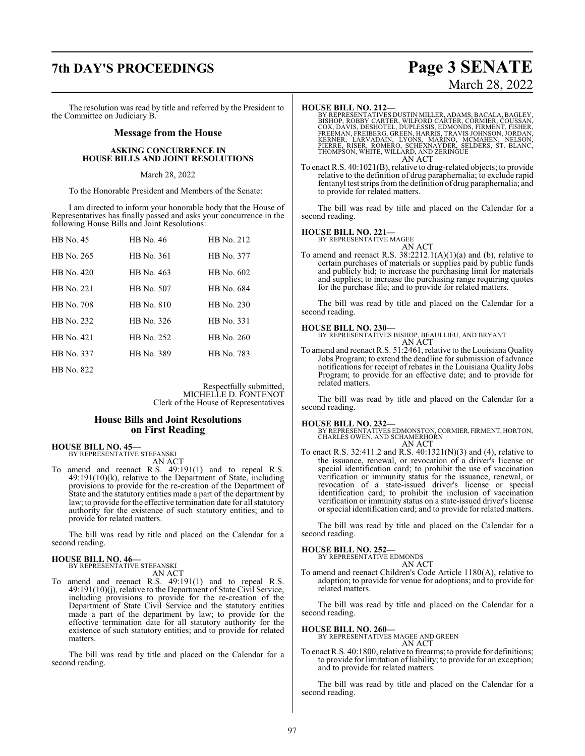## **7th DAY'S PROCEEDINGS Page 3 SENATE**

# March 28, 2022

The resolution was read by title and referred by the President to the Committee on Judiciary B.

### **Message from the House**

### **ASKING CONCURRENCE IN HOUSE BILLS AND JOINT RESOLUTIONS**

### March 28, 2022

To the Honorable President and Members of the Senate:

I am directed to inform your honorable body that the House of Representatives has finally passed and asks your concurrence in the following House Bills and Joint Resolutions:

| HB No. 45    | HB No. 46  | HB No. 212 |
|--------------|------------|------------|
| HB No. 265   | HB No. 361 | HB No. 377 |
| HB No. 420   | HB No. 463 | HB No. 602 |
| HB No. 221   | HB No. 507 | HB No. 684 |
| HB No. 708   | HB No. 810 | HB No. 230 |
| HB No. 232   | HB No. 326 | HB No. 331 |
| HB No. 421   | HB No. 252 | HB No. 260 |
| HB No. 337   | HB No. 389 | HB No. 783 |
| $HR N_0$ 822 |            |            |

Respectfully submitted, MICHELLE D. FONTENOT Clerk of the House of Representatives

### **House Bills and Joint Resolutions on First Reading**

**HOUSE BILL NO. 45—** BY REPRESENTATIVE STEFANSKI

AN ACT

To amend and reenact R.S. 49:191(1) and to repeal R.S. 49:191(10)(k), relative to the Department of State, including provisions to provide for the re-creation of the Department of State and the statutory entities made a part of the department by law; to provide for the effective termination date for all statutory authority for the existence of such statutory entities; and to provide for related matters.

The bill was read by title and placed on the Calendar for a second reading.

# **HOUSE BILL NO. 46—** BY REPRESENTATIVE STEFANSKI

AN ACT

To amend and reenact R.S. 49:191(1) and to repeal R.S. 49:191(10)(j), relative to the Department of State Civil Service, including provisions to provide for the re-creation of the Department of State Civil Service and the statutory entities made a part of the department by law; to provide for the effective termination date for all statutory authority for the existence of such statutory entities; and to provide for related matters.

The bill was read by title and placed on the Calendar for a second reading.

### **HOUSE BILL NO. 212—**

BY REPRESENTATIVES DUSTIN MILLER, ADAMS, BACALA, BAGLEY,<br>BISHOP, ROBBY CARTER, WILFORD CARTER, CORMIER, COUSSAN,<br>COX, DAVIS, DESHOTEL, DUPLESSIS, EDMONDS, FIRMENT, FISHER,<br>FREEMAN, FREIBERG, GREEN, HARRIS, TRAVIS JOHNSON, AN ACT

To enact R.S. 40:1021(B), relative to drug-related objects; to provide relative to the definition of drug paraphernalia; to exclude rapid fentanyl test strips fromthe definition of drug paraphernalia; and to provide for related matters.

The bill was read by title and placed on the Calendar for a second reading.

### **HOUSE BILL NO. 221—**

BY REPRESENTATIVE MAGEE AN ACT

To amend and reenact R.S. 38:2212.1(A)(1)(a) and (b), relative to certain purchases of materials or supplies paid by public funds and publicly bid; to increase the purchasing limit for materials and supplies; to increase the purchasing range requiring quotes for the purchase file; and to provide for related matters.

The bill was read by title and placed on the Calendar for a second reading.

### **HOUSE BILL NO. 230—**

BY REPRESENTATIVES BISHOP, BEAULLIEU, AND BRYANT AN ACT

To amend and reenact R.S. 51:2461, relative to the Louisiana Quality Jobs Program; to extend the deadline for submission of advance notifications for receipt of rebates in the Louisiana Quality Jobs Program; to provide for an effective date; and to provide for related matters.

The bill was read by title and placed on the Calendar for a second reading.

**HOUSE BILL NO. 232—** BY REPRESENTATIVES EDMONSTON,CORMIER, FIRMENT, HORTON, CHARLES OWEN, AND SCHAMERHORN AN ACT

To enact R.S. 32:411.2 and R.S. 40:1321(N)(3) and (4), relative to the issuance, renewal, or revocation of a driver's license or special identification card; to prohibit the use of vaccination verification or immunity status for the issuance, renewal, or revocation of a state-issued driver's license or special identification card; to prohibit the inclusion of vaccination verification or immunity status on a state-issued driver's license or special identification card; and to provide for related matters.

The bill was read by title and placed on the Calendar for a second reading.

**HOUSE BILL NO. 252—** BY REPRESENTATIVE EDMONDS AN ACT

To amend and reenact Children's Code Article 1180(A), relative to adoption; to provide for venue for adoptions; and to provide for related matters.

The bill was read by title and placed on the Calendar for a second reading.

### **HOUSE BILL NO. 260—**

BY REPRESENTATIVES MAGEE AND GREEN AN ACT

To enact R.S. 40:1800, relative to firearms; to provide for definitions; to provide for limitation of liability; to provide for an exception; and to provide for related matters.

The bill was read by title and placed on the Calendar for a second reading.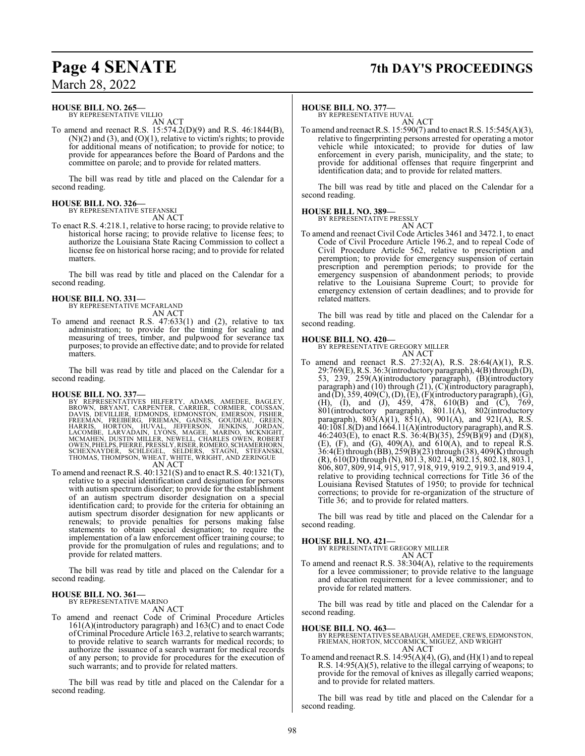# **Page 4 SENATE 7th DAY'S PROCEEDINGS**

March 28, 2022

## **HOUSE BILL NO. 265—**

BY REPRESENTATIVE VILLIO AN ACT

To amend and reenact R.S. 15:574.2(D)(9) and R.S. 46:1844(B),  $(N)(2)$  and  $(3)$ , and  $(O)(1)$ , relative to victim's rights; to provide for additional means of notification; to provide for notice; to provide for appearances before the Board of Pardons and the committee on parole; and to provide for related matters.

The bill was read by title and placed on the Calendar for a second reading.

### **HOUSE BILL NO. 326—** BY REPRESENTATIVE STEFANSKI

AN ACT

To enact R.S. 4:218.1, relative to horse racing; to provide relative to historical horse racing; to provide relative to license fees; to authorize the Louisiana State Racing Commission to collect a license fee on historical horse racing; and to provide for related matters.

The bill was read by title and placed on the Calendar for a second reading.

## **HOUSE BILL NO. 331—**

BY REPRESENTATIVE MCFARLAND AN ACT

To amend and reenact R.S. 47:633(1) and (2), relative to tax administration; to provide for the timing for scaling and measuring of trees, timber, and pulpwood for severance tax purposes; to provide an effective date; and to provide for related matters.

The bill was read by title and placed on the Calendar for a second reading.

- HOUSE BILL NO. 337—<br>
BY REPRESENTATIVES HILFERTY, ADAMS, AMEDEE, BAGLEY, BROWN, BRYANT, CARPENTER, CARRIER, CORMIER, COUSSAN,<br>
DAVIS, DEVILLIER, EDMONDS, EDMONTON, EMERSON, FISHER,<br>
FREEMAN, FREIBÈRG, FRIEMAN, GAINES, GOUD AN ACT
- To amend and reenact R.S. 40:1321(S) and to enact R.S. 40:1321(T), relative to a special identification card designation for persons with autism spectrum disorder; to provide for the establishment of an autism spectrum disorder designation on a special identification card; to provide for the criteria for obtaining an autism spectrum disorder designation for new applicants or renewals; to provide penalties for persons making false statements to obtain special designation; to require the implementation of a law enforcement officer training course; to provide for the promulgation of rules and regulations; and to provide for related matters.

The bill was read by title and placed on the Calendar for a second reading.

### **HOUSE BILL NO. 361—** BY REPRESENTATIVE MARINO

AN ACT

To amend and reenact Code of Criminal Procedure Articles 161(A)(introductory paragraph) and 163(C) and to enact Code ofCriminal Procedure Article 163.2, relative to search warrants; to provide relative to search warrants for medical records; to authorize the issuance of a search warrant for medical records of any person; to provide for procedures for the execution of such warrants; and to provide for related matters.

The bill was read by title and placed on the Calendar for a second reading.

### **HOUSE BILL NO. 377—**

BY REPRESENTATIVE HUVAL AN ACT

To amend and reenact R.S. 15:590(7) and to enact R.S. 15:545(A)(3), relative to fingerprinting persons arrested for operating a motor vehicle while intoxicated; to provide for duties of law enforcement in every parish, municipality, and the state; to provide for additional offenses that require fingerprint and identification data; and to provide for related matters.

The bill was read by title and placed on the Calendar for a second reading.

### **HOUSE BILL NO. 389—** BY REPRESENTATIVE PRESSLY

AN ACT

To amend and reenact Civil Code Articles 3461 and 3472.1, to enact Code of Civil Procedure Article 196.2, and to repeal Code of Civil Procedure Article 562, relative to prescription and peremption; to provide for emergency suspension of certain prescription and peremption periods; to provide for the emergency suspension of abandonment periods; to provide relative to the Louisiana Supreme Court; to provide for emergency extension of certain deadlines; and to provide for related matters.

The bill was read by title and placed on the Calendar for a second reading.

### **HOUSE BILL NO. 420—**

BY REPRESENTATIVE GREGORY MILLER AN ACT

To amend and reenact R.S. 27:32(A), R.S. 28:64(A)(1), R.S. 29:769(E), R.S. 36:3(introductory paragraph), 4(B)through (D), 53, 239, 259(A)(introductory paragraph), (B)(introductory paragraph) and (10) through (21), (C)(introductory paragraph), and (D), 359, 409(C), (D), (E), (F)(introductory paragraph), (G), (H), (I), and (J), 459, 478, 610(B) and (C), 769, 801(introductory paragraph), 801.1(A), 802(introductory paragraph),  $803(A)(1)$ ,  $851(A)$ ,  $901(A)$ , and  $921(A)$ , R.S. 40:1081.8(D) and 1664.11(A)(introductory paragraph), andR.S. 46:2403(E), to enact R.S. 36:4(B)(35), 259(B)(9) and (D)(8), (E), (F), and (G),  $409(A)$ , and  $610(A)$ , and to repeal R.S. 36:4(E) through (BB), 259(B)(23) through (38), 409(K) through (R), 610(D) through (N), 801.3, 802.14, 802.15, 802.18, 803.1, 806, 807, 809, 914, 915, 917, 918, 919, 919.2, 919.3, and 919.4, relative to providing technical corrections for Title 36 of the Louisiana Revised Statutes of 1950; to provide for technical corrections; to provide for re-organization of the structure of Title 36; and to provide for related matters.

The bill was read by title and placed on the Calendar for a second reading.

### **HOUSE BILL NO. 421—**

BY REPRESENTATIVE GREGORY MILLER AN ACT

To amend and reenact R.S. 38:304(A), relative to the requirements for a levee commissioner; to provide relative to the language and education requirement for a levee commissioner; and to provide for related matters.

The bill was read by title and placed on the Calendar for a second reading.

- **HOUSE BILL NO. 463—** BY REPRESENTATIVES SEABAUGH, AMEDEE,CREWS, EDMONSTON, FRIEMAN, HORTON, MCCORMICK, MIGUEZ, AND WRIGHT AN ACT
- To amend and reenact R.S.  $14:95(A)(4)$ , (G), and (H)(1) and to repeal R.S. 14:95(A)(5), relative to the illegal carrying of weapons; to provide for the removal of knives as illegally carried weapons; and to provide for related matters.

The bill was read by title and placed on the Calendar for a second reading.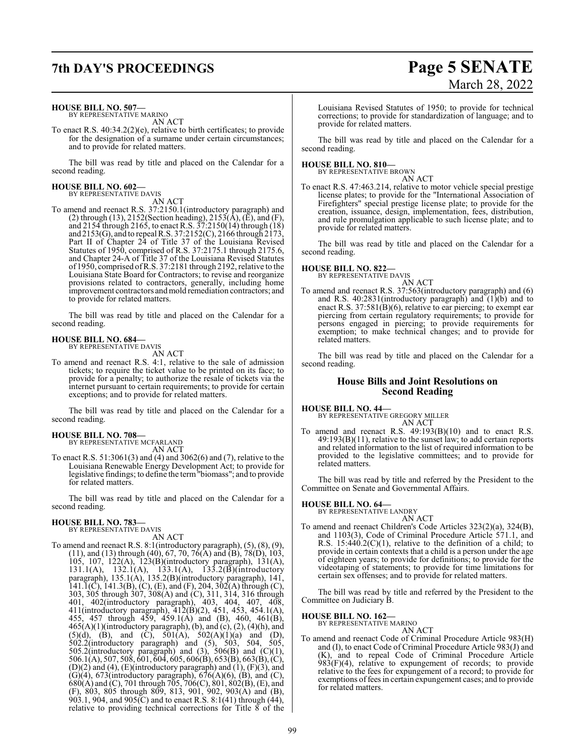## **7th DAY'S PROCEEDINGS Page 5 SENATE**

### **HOUSE BILL NO. 507—**

BY REPRESENTATIVE MARINO AN ACT

To enact R.S. 40:34.2(2)(e), relative to birth certificates; to provide for the designation of a surname under certain circumstances; and to provide for related matters.

The bill was read by title and placed on the Calendar for a second reading.

**HOUSE BILL NO. 602—** BY REPRESENTATIVE DAVIS

AN ACT

To amend and reenact R.S. 37:2150.1(introductory paragraph) and (2) through (13), 2152(Section heading), 2153( $\overline{A}$ ), ( $\overline{E}$ ), and (F), and 2154 through 2165, to enact R.S. 37:2150(14) through (18) and 2153(G), and to repeal R.S. 37:2152(C), 2166 through 2173, Part II of Chapter 24 of Title 37 of the Louisiana Revised Statutes of 1950, comprised of R.S. 37:2175.1 through 2175.6, and Chapter 24-A of Title 37 of the Louisiana Revised Statutes of 1950, comprised ofR.S. 37:2181 through 2192, relative to the Louisiana State Board for Contractors; to revise and reorganize provisions related to contractors, generally, including home improvement contractors and mold remediation contractors; and to provide for related matters.

The bill was read by title and placed on the Calendar for a second reading.

### **HOUSE BILL NO. 684—** BY REPRESENTATIVE DAVIS

AN ACT

To amend and reenact R.S. 4:1, relative to the sale of admission tickets; to require the ticket value to be printed on its face; to provide for a penalty; to authorize the resale of tickets via the internet pursuant to certain requirements; to provide for certain exceptions; and to provide for related matters.

The bill was read by title and placed on the Calendar for a second reading.

### **HOUSE BILL NO. 708—**

BY REPRESENTATIVE MCFARLAND AN ACT

To enact R.S. 51:3061(3) and (4) and 3062(6) and (7), relative to the Louisiana Renewable Energy Development Act; to provide for legislative findings; to define the term"biomass"; and to provide for related matters.

The bill was read by title and placed on the Calendar for a second reading.

### **HOUSE BILL NO. 783—** BY REPRESENTATIVE DAVIS

AN ACT

To amend and reenact R.S. 8:1(introductory paragraph), (5), (8), (9), (11), and (13) through (40), 67, 70, 76(A) and (B), 78(D), 103, 105, 107, 122(A), 123(B)(introductory paragraph), 131(A), 131.1(A), 132.1(A), 133.1(A), 133.2(B)(introductory paragraph), 135.1(A), 135.2(B)(introductory paragraph), 141,  $141.\overline{1}$ (C),  $141.3$ (B), (C), (E), and (F), 204, 302(A) through (C), 303, 305 through 307, 308(A) and (C), 311, 314, 316 through 401, 402(introductory paragraph), 403, 404, 407, 408, 411(introductory paragraph), 412(B)(2), 451, 453, 454.1(A), 455, 457 through 459, 459.1(A) and (B), 460, 461(B),  $465(A)(1)$ (introductory paragraph), (b), and (c), (2), (4)(h), and  $(5)(d)$ ,  $(B)$ , and  $(C)$ ,  $501(A)$ ,  $502(A)(1)(a)$  and  $(D)$ , 502.2(introductory paragraph) and (5), 503, 504, 505, 505.2(introductory paragraph) and  $(3)$ , 506 $(B)$  and  $(C)(1)$ , 506.1(A), 507, 508, 601, 604, 605, 606(B), 653(B), 663(B), (C),  $(D)(2)$  and  $(4)$ ,  $(E)$ (introductory paragraph) and  $(1)$ ,  $(F)(3)$ , and  $(G)(4)$ , 673(introductory paragraph), 676(A)(6), (B), and (C), 680(A) and (C), 701 through 705, 706(C), 801, 802(B), (E), and (F), 803, 805 through 809, 813, 901, 902, 903(A) and (B), 903.1, 904, and 905(C) and to enact R.S. 8:1(41) through (44), relative to providing technical corrections for Title  $\overline{8}$  of the

# March 28, 2022

Louisiana Revised Statutes of 1950; to provide for technical corrections; to provide for standardization of language; and to provide for related matters.

The bill was read by title and placed on the Calendar for a second reading.

### **HOUSE BILL NO. 810—** BY REPRESENTATIVE BROWN

AN ACT

To enact R.S. 47:463.214, relative to motor vehicle special prestige license plates; to provide for the "International Association of Firefighters" special prestige license plate; to provide for the creation, issuance, design, implementation, fees, distribution, and rule promulgation applicable to such license plate; and to provide for related matters.

The bill was read by title and placed on the Calendar for a second reading.

# **HOUSE BILL NO. 822—** BY REPRESENTATIVE DAVIS

AN ACT To amend and reenact R.S. 37:563(introductory paragraph) and (6) and R.S. 40:2831(introductory paragraph) and (1)(b) and to enact R.S. 37:581(B)(6), relative to ear piercing; to exempt ear piercing from certain regulatory requirements; to provide for persons engaged in piercing; to provide requirements for exemption; to make technical changes; and to provide for related matters.

The bill was read by title and placed on the Calendar for a second reading.

### **House Bills and Joint Resolutions on Second Reading**

**HOUSE BILL NO. 44—** BY REPRESENTATIVE GREGORY MILLER

AN ACT

To amend and reenact R.S. 49:193(B)(10) and to enact R.S. 49:193(B)(11), relative to the sunset law; to add certain reports and related information to the list of required information to be provided to the legislative committees; and to provide for related matters.

The bill was read by title and referred by the President to the Committee on Senate and Governmental Affairs.

### **HOUSE BILL NO. 64—**

BY REPRESENTATIVE LANDRY AN ACT

To amend and reenact Children's Code Articles 323(2)(a), 324(B), and 1103(3), Code of Criminal Procedure Article 571.1, and R.S.  $15:440.2(C)(1)$ , relative to the definition of a child; to provide in certain contexts that a child is a person under the age of eighteen years; to provide for definitions; to provide for the videotaping of statements; to provide for time limitations for certain sex offenses; and to provide for related matters.

The bill was read by title and referred by the President to the Committee on Judiciary B.

### **HOUSE BILL NO. 162—**

BY REPRESENTATIVE MARINO

AN ACT To amend and reenact Code of Criminal Procedure Article 983(H) and (I), to enact Code of Criminal Procedure Article 983(J) and (K), and to repeal Code of Criminal Procedure Article 983(F)(4), relative to expungement of records; to provide relative to the fees for expungement of a record; to provide for exemptions of fees in certain expungement cases; and to provide for related matters.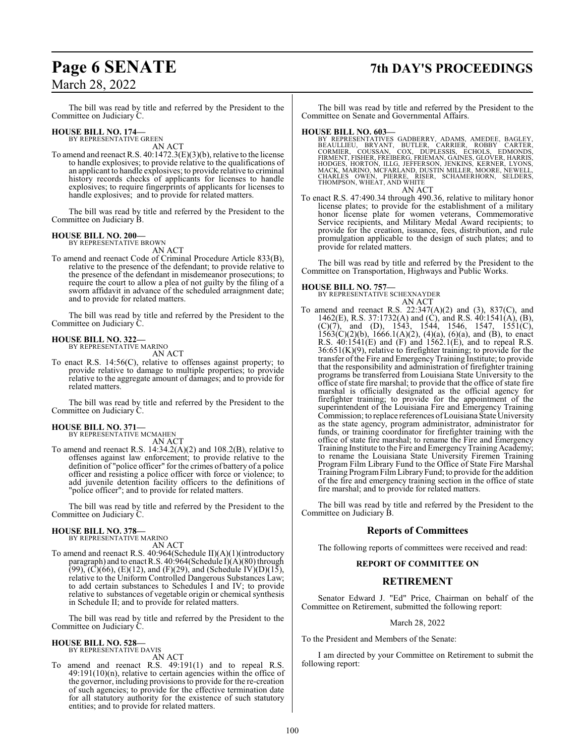## **Page 6 SENATE 7th DAY'S PROCEEDINGS**

The bill was read by title and referred by the President to the Committee on Judiciary C.

### **HOUSE BILL NO. 174—**

BY REPRESENTATIVE GREEN AN ACT

To amend and reenact R.S. 40:1472.3(E)(3)(b), relative to the license to handle explosives; to provide relative to the qualifications of an applicant to handle explosives; to provide relative to criminal history records checks of applicants for licenses to handle explosives; to require fingerprints of applicants for licenses to handle explosives; and to provide for related matters.

The bill was read by title and referred by the President to the Committee on Judiciary B.

### **HOUSE BILL NO. 200—**

BY REPRESENTATIVE BROWN AN ACT

To amend and reenact Code of Criminal Procedure Article 833(B), relative to the presence of the defendant; to provide relative to the presence of the defendant in misdemeanor prosecutions; to require the court to allow a plea of not guilty by the filing of a sworn affidavit in advance of the scheduled arraignment date; and to provide for related matters.

The bill was read by title and referred by the President to the Committee on Judiciary C.

### **HOUSE BILL NO. 322—**

BY REPRESENTATIVE MARINO AN ACT

To enact R.S. 14:56(C), relative to offenses against property; to provide relative to damage to multiple properties; to provide relative to the aggregate amount of damages; and to provide for related matters.

The bill was read by title and referred by the President to the Committee on Judiciary C.

### **HOUSE BILL NO. 371—**

BY REPRESENTATIVE MCMAHEN

AN ACT

To amend and reenact R.S. 14:34.2(A)(2) and 108.2(B), relative to offenses against law enforcement; to provide relative to the definition of "police officer" for the crimes of battery of a police officer and resisting a police officer with force or violence; to add juvenile detention facility officers to the definitions of "police officer"; and to provide for related matters.

The bill was read by title and referred by the President to the Committee on Judiciary C.

### **HOUSE BILL NO. 378—** BY REPRESENTATIVE MARINO

AN ACT

To amend and reenact R.S. 40:964(Schedule II)(A)(1)(introductory paragraph) and to enact R.S. 40:964(Schedule I)(A)(80) through  $(99)$ ,  $(C)(66)$ ,  $(E)(12)$ , and  $(F)(29)$ , and  $(Schedule IV)(D)(15)$ , relative to the Uniform Controlled Dangerous Substances Law; to add certain substances to Schedules I and IV; to provide relative to substances of vegetable origin or chemical synthesis in Schedule II; and to provide for related matters.

The bill was read by title and referred by the President to the Committee on Judiciary C.

### **HOUSE BILL NO. 528—** BY REPRESENTATIVE DAVIS

AN ACT

To amend and reenact R.S. 49:191(1) and to repeal R.S. 49:191(10)(n), relative to certain agencies within the office of the governor, including provisions to provide for the re-creation of such agencies; to provide for the effective termination date for all statutory authority for the existence of such statutory entities; and to provide for related matters.

The bill was read by title and referred by the President to the Committee on Senate and Governmental Affairs.

### **HOUSE BILL NO. 603—**

BY REPRESENTATIVES GADBERRY, ADAMS, AMEDEE, BAGLEY,<br>BEAULLIEU, BRYANT, BUTLER, CARRIER, ROBBY CARTER,<br>CORMIER, COUSSAN, COX, DUPLESSIS, ECHOLS, EDMONDS,<br>FIRMENT, FISHER, FREIBERG, FRIEMAN, GAINES, GLOVER, HARRIS,<br>HODGES, H AN ACT

To enact R.S. 47:490.34 through 490.36, relative to military honor license plates; to provide for the establishment of a military honor license plate for women veterans, Commemorative Service recipients, and Military Medal Award recipients; to provide for the creation, issuance, fees, distribution, and rule promulgation applicable to the design of such plates; and to provide for related matters.

The bill was read by title and referred by the President to the Committee on Transportation, Highways and Public Works.

### **HOUSE BILL NO. 757—**

BY REPRESENTATIVE SCHEXNAYDER AN ACT

To amend and reenact R.S. 22:347(A)(2) and (3), 837(C), and 1462(E), R.S. 37:1732(A) and (C), and R.S. 40:1541(A), (B),  $(C)(7)$ , and  $(D)$ , 1543, 1544, 1546, 1547, 1551 $(C)$ ,  $1563(C)(2)(b)$ ,  $1666.1(A)(2)$ ,  $(4)(a)$ ,  $(6)(a)$ , and  $(B)$ , to enact R.S. 40:1541(E) and (F) and 1562.1(E), and to repeal R.S. 36:651(K)(9), relative to firefighter training; to provide for the transfer ofthe Fire and EmergencyTraining Institute; to provide that the responsibility and administration of firefighter training programs be transferred from Louisiana State University to the office of state fire marshal; to provide that the office of state fire marshal is officially designated as the official agency for firefighter training; to provide for the appointment of the superintendent of the Louisiana Fire and Emergency Training Commission; to replace references of Louisiana State University as the state agency, program administrator, administrator for funds, or training coordinator for firefighter training with the office of state fire marshal; to rename the Fire and Emergency Training Institute to the Fire and Emergency Training Academy; to rename the Louisiana State University Firemen Training Program Film Library Fund to the Office of State Fire Marshal Training ProgramFilmLibraryFund; to provide for the addition of the fire and emergency training section in the office of state fire marshal; and to provide for related matters.

The bill was read by title and referred by the President to the Committee on Judiciary B.

### **Reports of Committees**

The following reports of committees were received and read:

### **REPORT OF COMMITTEE ON**

### **RETIREMENT**

Senator Edward J. "Ed" Price, Chairman on behalf of the Committee on Retirement, submitted the following report:

### March 28, 2022

To the President and Members of the Senate:

I am directed by your Committee on Retirement to submit the following report: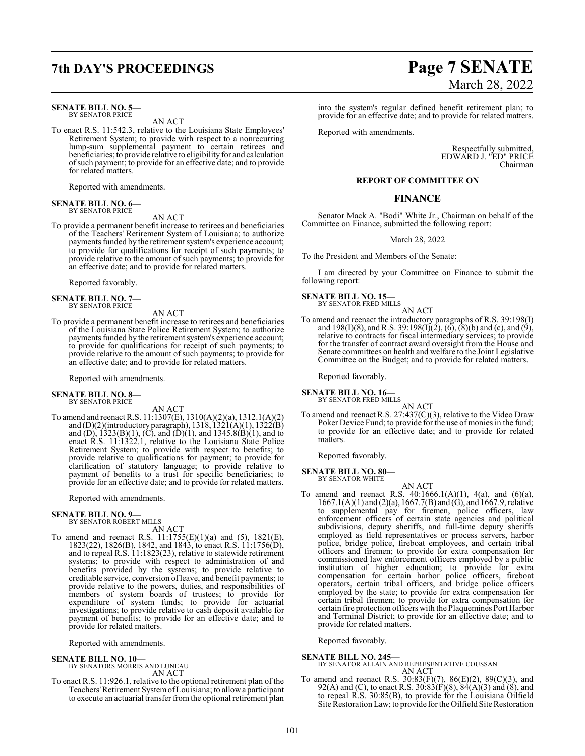## **7th DAY'S PROCEEDINGS Page 7 SENATE**

### **SENATE BILL NO. 5—** BY SENATOR PRICE

AN ACT

To enact R.S. 11:542.3, relative to the Louisiana State Employees' Retirement System; to provide with respect to a nonrecurring lump-sum supplemental payment to certain retirees and beneficiaries; to provide relative to eligibility for and calculation ofsuch payment; to provide for an effective date; and to provide for related matters.

Reported with amendments.

### **SENATE BILL NO. 6—** BY SENATOR PRICE

AN ACT

To provide a permanent benefit increase to retirees and beneficiaries of the Teachers' Retirement System of Louisiana; to authorize payments funded by the retirement system's experience account; to provide for qualifications for receipt of such payments; to provide relative to the amount of such payments; to provide for an effective date; and to provide for related matters.

Reported favorably.

### **SENATE BILL NO. 7—** BY SENATOR PRICE

AN ACT

To provide a permanent benefit increase to retirees and beneficiaries of the Louisiana State Police Retirement System; to authorize payments funded by the retirement system's experience account; to provide for qualifications for receipt of such payments; to provide relative to the amount of such payments; to provide for an effective date; and to provide for related matters.

Reported with amendments.

## **SENATE BILL NO. 8—** BY SENATOR PRICE

AN ACT

To amend and reenact R.S. 11:1307(E), 1310(A)(2)(a), 1312.1(A)(2) and (D)(2)(introductory paragraph), 1318, 1321(A)(1), 1322(B) and (D),  $1323(B)(1)$ , (C), and (D)(1), and  $1345.8(B)(1)$ , and to enact R.S. 11:1322.1, relative to the Louisiana State Police Retirement System; to provide with respect to benefits; to provide relative to qualifications for payment; to provide for clarification of statutory language; to provide relative to payment of benefits to a trust for specific beneficiaries; to provide for an effective date; and to provide for related matters.

Reported with amendments.

### **SENATE BILL NO. 9—** BY SENATOR ROBERT MILLS

AN ACT

To amend and reenact R.S. 11:1755(E)(1)(a) and (5), 1821(E), 1823(22), 1826(B), 1842, and 1843, to enact R.S. 11:1756(D), and to repeal R.S. 11:1823(23), relative to statewide retirement systems; to provide with respect to administration of and benefits provided by the systems; to provide relative to creditable service, conversion ofleave, and benefit payments; to provide relative to the powers, duties, and responsibilities of members of system boards of trustees; to provide for expenditure of system funds; to provide for actuarial investigations; to provide relative to cash deposit available for payment of benefits; to provide for an effective date; and to provide for related matters.

Reported with amendments.

**SENATE BILL NO. 10—** BY SENATORS MORRIS AND LUNEAU AN ACT

To enact R.S. 11:926.1, relative to the optional retirement plan of the Teachers'Retirement SystemofLouisiana; to allowa participant to execute an actuarial transfer fromthe optional retirement plan

# March 28, 2022

into the system's regular defined benefit retirement plan; to provide for an effective date; and to provide for related matters.

Reported with amendments.

Respectfully submitted, EDWARD J. "ED" PRICE Chairman

### **REPORT OF COMMITTEE ON**

### **FINANCE**

Senator Mack A. "Bodi" White Jr., Chairman on behalf of the Committee on Finance, submitted the following report:

March 28, 2022

To the President and Members of the Senate:

I am directed by your Committee on Finance to submit the following report:

## **SENATE BILL NO. 15—** BY SENATOR FRED MILLS

AN ACT To amend and reenact the introductory paragraphs of R.S. 39:198(I) and 198(I)(8), and R.S. 39:198(I)(2), (6), (8)(b) and (c), and (9), relative to contracts for fiscal intermediary services; to provide for the transfer of contract award oversight from the House and Senate committees on health and welfare to the Joint Legislative Committee on the Budget; and to provide for related matters.

Reported favorably.

**SENATE BILL NO. 16—** BY SENATOR FRED MILLS

AN ACT

To amend and reenact R.S. 27:437(C)(3), relative to the Video Draw Poker Device Fund; to provide for the use of monies in the fund; to provide for an effective date; and to provide for related matters.

Reported favorably.

**SENATE BILL NO. 80—** BY SENATOR WHITE

AN ACT

To amend and reenact R.S.  $40:1666.1(A)(1)$ ,  $4(a)$ , and  $(6)(a)$ , 1667.1(A)(1) and (2)(a), 1667.7(B) and (G), and 1667.9, relative to supplemental pay for firemen, police officers, law enforcement officers of certain state agencies and political subdivisions, deputy sheriffs, and full-time deputy sheriffs employed as field representatives or process servers, harbor police, bridge police, fireboat employees, and certain tribal officers and firemen; to provide for extra compensation for commissioned law enforcement officers employed by a public institution of higher education; to provide for extra compensation for certain harbor police officers, fireboat operators, certain tribal officers, and bridge police officers employed by the state; to provide for extra compensation for certain tribal firemen; to provide for extra compensation for certain fire protection officers with the Plaquemines Port Harbor and Terminal District; to provide for an effective date; and to provide for related matters.

Reported favorably.

### **SENATE BILL NO. 245—**

BY SENATOR ALLAIN AND REPRESENTATIVE COUSSAN AN ACT

To amend and reenact R.S. 30:83(F)(7), 86(E)(2), 89(C)(3), and 92(A) and (C), to enact R.S.  $30:83(F)(8)$ ,  $84(A)(3)$  and  $(8)$ , and to repeal R.S. 30:85(B), to provide for the Louisiana Oilfield Site Restoration Law; to provide for the Oilfield Site Restoration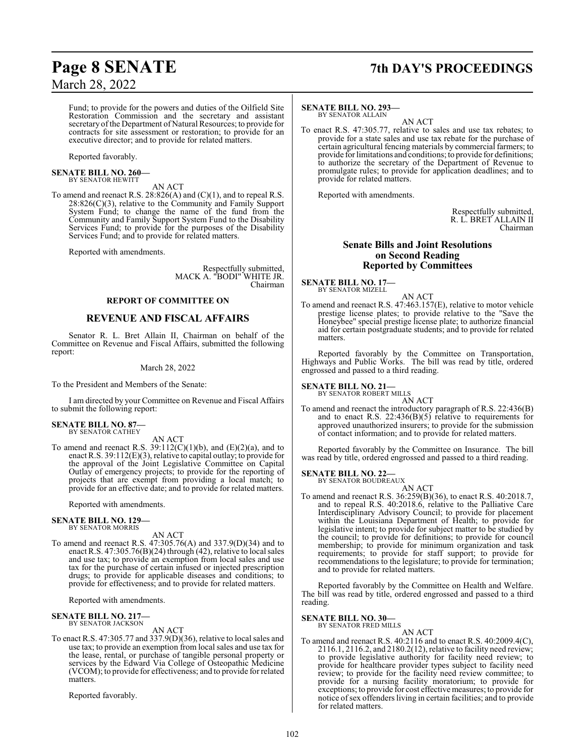# **Page 8 SENATE 7th DAY'S PROCEEDINGS**

Fund; to provide for the powers and duties of the Oilfield Site Restoration Commission and the secretary and assistant secretary of the Department of Natural Resources; to provide for contracts for site assessment or restoration; to provide for an executive director; and to provide for related matters.

Reported favorably.

**SENATE BILL NO. 260—** BY SENATOR HEWITT

### AN ACT

To amend and reenact R.S. 28:826(A) and (C)(1), and to repeal R.S.  $28:826(C)(3)$ , relative to the Community and Family Support System Fund; to change the name of the fund from the Community and Family Support System Fund to the Disability Services Fund; to provide for the purposes of the Disability Services Fund; and to provide for related matters.

Reported with amendments.

Respectfully submitted, MACK A. "BODI" WHITE JR. Chairman

### **REPORT OF COMMITTEE ON**

### **REVENUE AND FISCAL AFFAIRS**

Senator R. L. Bret Allain II, Chairman on behalf of the Committee on Revenue and Fiscal Affairs, submitted the following report:

### March 28, 2022

To the President and Members of the Senate:

I am directed by your Committee on Revenue and Fiscal Affairs to submit the following report:

### **SENATE BILL NO. 87—** BY SENATOR CATHEY

AN ACT

To amend and reenact R.S.  $39:112(C)(1)(b)$ , and  $(E)(2)(a)$ , and to enact R.S. 39:112(E)(3), relative to capital outlay; to provide for the approval of the Joint Legislative Committee on Capital Outlay of emergency projects; to provide for the reporting of projects that are exempt from providing a local match; to provide for an effective date; and to provide for related matters.

Reported with amendments.

### **SENATE BILL NO. 129—** BY SENATOR MORRIS

AN ACT

To amend and reenact R.S. 47:305.76(A) and 337.9(D)(34) and to enact R.S. 47:305.76(B)(24) through (42), relative to local sales and use tax; to provide an exemption from local sales and use tax for the purchase of certain infused or injected prescription drugs; to provide for applicable diseases and conditions; to provide for effectiveness; and to provide for related matters.

Reported with amendments.

### **SENATE BILL NO. 217—** BY SENATOR JACKSON

### AN ACT

To enact R.S. 47:305.77 and 337.9(D)(36), relative to local sales and use tax; to provide an exemption from local sales and use tax for the lease, rental, or purchase of tangible personal property or services by the Edward Via College of Osteopathic Medicine (VCOM); to provide for effectiveness; and to provide for related matters.

Reported favorably.

### **SENATE BILL NO. 293—** BY SENATOR ALLAIN

AN ACT

To enact R.S. 47:305.77, relative to sales and use tax rebates; to provide for a state sales and use tax rebate for the purchase of certain agricultural fencing materials by commercial farmers; to provide for limitations and conditions; to provide for definitions; to authorize the secretary of the Department of Revenue to promulgate rules; to provide for application deadlines; and to provide for related matters.

Reported with amendments.

Respectfully submitted, R. L. BRET ALLAIN II Chairman

### **Senate Bills and Joint Resolutions on Second Reading Reported by Committees**

**SENATE BILL NO. 17—**<br>BY SENATOR MIZELL

AN ACT

To amend and reenact R.S. 47:463.157(E), relative to motor vehicle prestige license plates; to provide relative to the "Save the Honeybee" special prestige license plate; to authorize financial aid for certain postgraduate students; and to provide for related matters.

Reported favorably by the Committee on Transportation, Highways and Public Works. The bill was read by title, ordered engrossed and passed to a third reading.

## **SENATE BILL NO. 21—** BY SENATOR ROBERT MILLS

AN ACT

To amend and reenact the introductory paragraph of R.S. 22:436(B) and to enact R.S. 22:436(B)(5) relative to requirements for approved unauthorized insurers; to provide for the submission of contact information; and to provide for related matters.

Reported favorably by the Committee on Insurance. The bill was read by title, ordered engrossed and passed to a third reading.

**SENATE BILL NO. 22—**

BY SENATOR BOUDREAUX AN ACT

To amend and reenact R.S. 36:259(B)(36), to enact R.S. 40:2018.7, and to repeal R.S. 40:2018.6, relative to the Palliative Care Interdisciplinary Advisory Council; to provide for placement within the Louisiana Department of Health; to provide for legislative intent; to provide for subject matter to be studied by the council; to provide for definitions; to provide for council membership; to provide for minimum organization and task requirements; to provide for staff support; to provide for recommendations to the legislature; to provide for termination; and to provide for related matters.

Reported favorably by the Committee on Health and Welfare. The bill was read by title, ordered engrossed and passed to a third reading.

## **SENATE BILL NO. 30—** BY SENATOR FRED MILLS

AN ACT To amend and reenact R.S. 40:2116 and to enact R.S. 40:2009.4(C), 2116.1, 2116.2, and 2180.2(12), relative to facility need review; to provide legislative authority for facility need review; to provide for healthcare provider types subject to facility need review; to provide for the facility need review committee; to provide for a nursing facility moratorium; to provide for exceptions; to provide for cost effective measures; to provide for notice of sex offenders living in certain facilities; and to provide for related matters.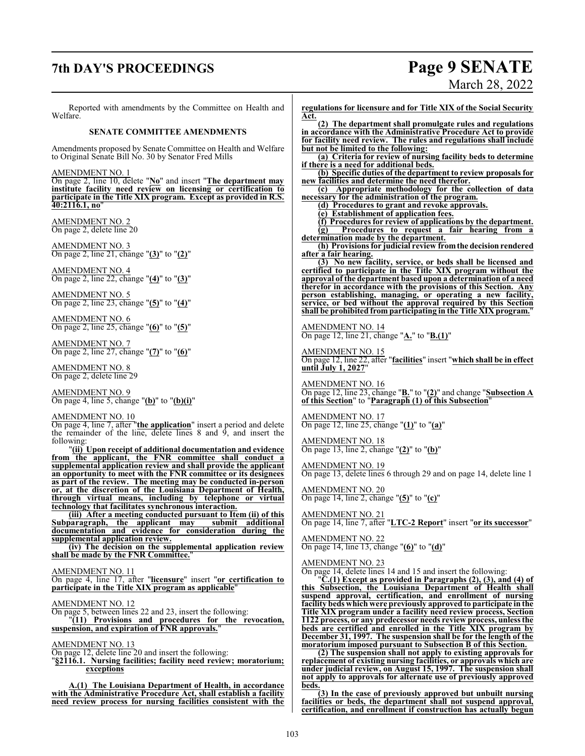## **7th DAY'S PROCEEDINGS Page 9 SENATE**

# March 28, 2022

Reported with amendments by the Committee on Health and Welfare.

### **SENATE COMMITTEE AMENDMENTS**

Amendments proposed by Senate Committee on Health and Welfare to Original Senate Bill No. 30 by Senator Fred Mills

AMENDMENT NO. 1

On page 2, line 10, delete "**No**" and insert "**The department may institute facility need review on licensing or certification to participate in the Title XIX program. Except as provided in R.S. 40:2116.1, no**"

AMENDMENT NO. 2 On page 2, delete line 20

AMENDMENT NO. 3 On page 2, line 21, change "**(3)**" to "**(2)**"

AMENDMENT NO. 4 On page 2, line 22, change "**(4)**" to "**(3)**"

AMENDMENT NO. 5 On page 2, line 23, change "**(5)**" to "**(4)**"

AMENDMENT NO. 6 On page 2, line 25, change "**(6)**" to "**(5)**"

AMENDMENT NO. 7 On page 2, line 27, change "**(7)**" to "**(6)**"

AMENDMENT NO. 8 On page 2, delete line 29

AMENDMENT NO. 9 On page 4, line 5, change "**(b)**" to "**(b)(i)**"

### AMENDMENT NO. 10

On page 4, line 7, after "**the application**" insert a period and delete the remainder of the line, delete lines 8 and 9, and insert the following:

"**(ii) Upon receipt of additional documentation and evidence from the applicant, the FNR committee shall conduct a supplemental application review and shall provide the applicant an opportunity to meet with the FNR committee or its designees as part of the review. The meeting may be conducted in-person or, at the discretion of the Louisiana Department of Health, through virtual means, including by telephone or virtual technology that facilitates synchronous interaction.**

**(iii) After a meeting conducted pursuant to Item (ii) of this Subparagraph, the applicant may documentation and evidence for consideration during the supplemental application review.**

**(iv) The decision on the supplemental application review shall be made by the FNR Committee.**"

AMENDMENT NO. 11

On page 4, line 17, after "**licensure**" insert "**or certification to participate in the Title XIX program as applicable**"

### AMENDMENT NO. 12

On page 5, between lines 22 and 23, insert the following: "**(11) Provisions and procedures for the revocation, suspension, and expiration of FNR approvals.**"

AMENDMENT NO. 13

On page 12, delete line 20 and insert the following:

"**§2116.1. Nursing facilities; facility need review; moratorium; exceptions**

**A.(1) The Louisiana Department of Health, in accordance with the Administrative Procedure Act, shall establish a facility need review process for nursing facilities consistent with the**

**regulations for licensure and for Title XIX of the Social Security Act.**

**(2) The department shall promulgate rules and regulations in accordance with the Administrative Procedure Act to provide for facility need review. The rules and regulations shall include but not be limited to the following:**

**(a) Criteria for review of nursing facility beds to determine if there is a need for additional beds.**

**(b) Specific duties of the department to review proposals for new facilities and determine the need therefor.**

**(c) Appropriate methodology for the collection of data necessary for the administration of the program.**

**(d) Procedures to grant and revoke approvals.**

**(e) Establishment of application fees.**

**(f) Procedures for review of applications by the department. (g) Procedures to request a fair hearing from a**

**determination made by the department. (h) Provisionsfor judicial review fromthe decision rendered**

**after a fair hearing.**

**(3) No new facility, service, or beds shall be licensed and certified to participate in the Title XIX program without the approval of the department based upon a determination of a need therefor in accordance with the provisions of this Section. Any person establishing, managing, or operating a new facility, service, or bed without the approval required by this Section shall be prohibited from participating in the Title XIX program.**"

AMENDMENT NO. 14 On page 12, line 21, change "**A.**" to "**B.(1)**"

AMENDMENT NO. 15 On page 12, line 22, after "**facilities**" insert "**which shall be in effect until July 1, 2027**"

AMENDMENT NO. 16 On page 12, line 23, change "**B.**" to "**(2)**" and change "**Subsection A of this Section**" to "**Paragraph (1) of this Subsection**"

AMENDMENT NO. 17 On page 12, line 25, change "**(1)**" to "**(a)**"

AMENDMENT NO. 18 On page 13, line 2, change "**(2)**" to "**(b)**"

AMENDMENT NO. 19 On page 13, delete lines 6 through 29 and on page 14, delete line 1

AMENDMENT NO. 20 On page 14, line 2, change "**(5)**" to "**(c)**"

AMENDMENT NO. 21 On page 14, line 7, after "**LTC-2 Report**" insert "**or its successor**"

AMENDMENT NO. 22 On page 14, line 13, change "**(6)**" to "**(d)**"

AMENDMENT NO. 23

On page 14, delete lines 14 and 15 and insert the following:

"**C.(1) Except as provided in Paragraphs (2), (3), and (4) of this Subsection, the Louisiana Department of Health shall suspend approval, certification, and enrollment of nursing facility beds which were previously approved to participate in the Title XIX program under a facility need review process, Section 1122 process, or any predecessor needs review process, unless the beds are certified and enrolled in the Title XIX program by December 31, 1997. The suspension shall be for the length of the moratorium imposed pursuant to Subsection B of this Section.**

**(2) The suspension shall not apply to existing approvals for replacement of existing nursing facilities, or approvals which are under judicial review, on August 15, 1997. The suspension shall not apply to approvals for alternate use of previously approved beds.**

**(3) In the case of previously approved but unbuilt nursing facilities or beds, the department shall not suspend approval, certification, and enrollment if construction has actually begun**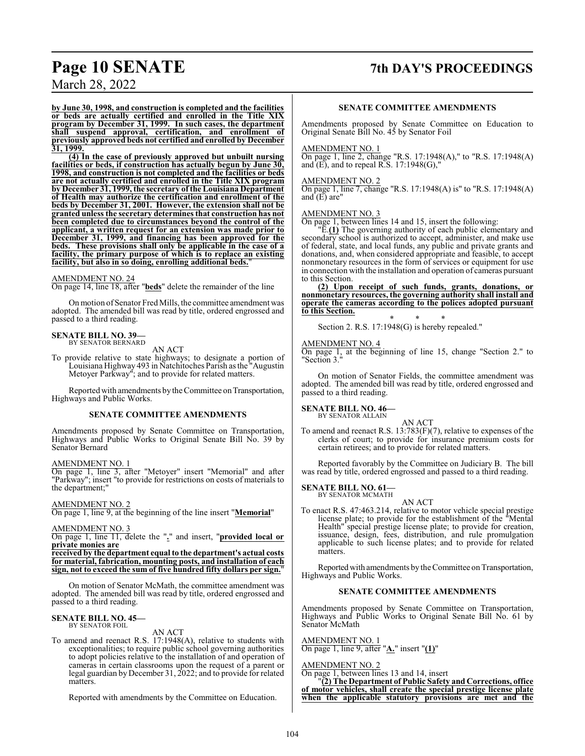## **Page 10 SENATE 7th DAY'S PROCEEDINGS**

March 28, 2022

**by June 30, 1998, and construction is completed and the facilities or beds are actually certified and enrolled in the Title XIX program by December 31, 1999. In such cases, the department shall suspend approval, certification, and enrollment of previously approved beds not certified and enrolled by December 31, 1999.**

**(4) In the case of previously approved but unbuilt nursing facilities or beds, if construction has actually begun by June 30, 1998, and construction is not completed and the facilities or beds are not actually certified and enrolled in the Title XIX program by December 31, 1999, the secretary of theLouisiana Department of Health may authorize the certification and enrollment of the beds by December 31, 2001. However, the extension shall not be granted unless the secretary determines that construction has not been completed due to circumstances beyond the control of the applicant, a written request for an extension was made prior to December 31, 1999, and financing has been approved for the beds. These provisions shall only be applicable in the case of a facility, the primary purpose of which is to replace an existing facility, but also in so doing, enrolling additional beds.**"

### AMENDMENT NO. 24

On page 14, line 18, after "**beds**" delete the remainder of the line

On motion of Senator Fred Mills, the committee amendment was adopted. The amended bill was read by title, ordered engrossed and passed to a third reading.

### **SENATE BILL NO. 39—** BY SENATOR BERNARD

AN ACT

To provide relative to state highways; to designate a portion of Louisiana Highway 493 in Natchitoches Parish as the "Augustin Metoyer Parkway"; and to provide for related matters.

Reported with amendments by the Committee on Transportation, Highways and Public Works.

### **SENATE COMMITTEE AMENDMENTS**

Amendments proposed by Senate Committee on Transportation, Highways and Public Works to Original Senate Bill No. 39 by Senator Bernard

### AMENDMENT NO. 1

On page 1, line 3, after "Metoyer" insert "Memorial" and after "Parkway"; insert "to provide for restrictions on costs of materials to the department;'

### AMENDMENT NO. 2

On page 1, line 9, at the beginning of the line insert "**Memorial**"

### AMENDMENT NO. 3

On page 1, line 11, delete the "**.**" and insert, "**provided local or private monies are**

**received by the department equal to the department's actual costs for material, fabrication, mounting posts, and installation of each sign, not to exceed the sum of five hundred fifty dollars per sign.**"

On motion of Senator McMath, the committee amendment was adopted. The amended bill was read by title, ordered engrossed and passed to a third reading.

### **SENATE BILL NO. 45—** BY SENATOR FOIL

### AN ACT

To amend and reenact R.S. 17:1948(A), relative to students with exceptionalities; to require public school governing authorities to adopt policies relative to the installation of and operation of cameras in certain classrooms upon the request of a parent or legal guardian by December 31, 2022; and to provide for related matters.

Reported with amendments by the Committee on Education.

### **SENATE COMMITTEE AMENDMENTS**

Amendments proposed by Senate Committee on Education to Original Senate Bill No. 45 by Senator Foil

### AMENDMENT NO. 1

On page 1, line 2, change "R.S. 17:1948(A)," to "R.S. 17:1948(A) and  $(E)$ , and to repeal R.S. 17:1948 $(G)$ ,"

### AMENDMENT NO. 2

On page 1, line 7, change "R.S. 17:1948(A) is" to "R.S. 17:1948(A) and  $(E)$  are"

### AMENDMENT NO. 3

On page 1, between lines 14 and 15, insert the following:

"E.**(1)** The governing authority of each public elementary and secondary school is authorized to accept, administer, and make use of federal, state, and local funds, any public and private grants and donations, and, when considered appropriate and feasible, to accept nonmonetary resources in the form of services or equipment for use in connection with the installation and operation of cameras pursuant to this Section.

**(2) Upon receipt of such funds, grants, donations, or nonmonetary resources, the governing authority shall install and operate the cameras according to the polices adopted pursuant to this Section.**

\* \* \* Section 2. R.S. 17:1948(G) is hereby repealed."

### AMENDMENT NO. 4

On page 1, at the beginning of line 15, change "Section 2." to "Section 3."

On motion of Senator Fields, the committee amendment was adopted. The amended bill was read by title, ordered engrossed and passed to a third reading.

## **SENATE BILL NO. 46—**<br>BY SENATOR ALLAIN

AN ACT To amend and reenact R.S. 13:783(F)(7), relative to expenses of the clerks of court; to provide for insurance premium costs for certain retirees; and to provide for related matters.

Reported favorably by the Committee on Judiciary B. The bill was read by title, ordered engrossed and passed to a third reading.

### **SENATE BILL NO. 61—**

BY SENATOR MCMATH AN ACT

To enact R.S. 47:463.214, relative to motor vehicle special prestige license plate; to provide for the establishment of the "Mental Health" special prestige license plate; to provide for creation, issuance, design, fees, distribution, and rule promulgation applicable to such license plates; and to provide for related matters.

Reported with amendments by the Committee on Transportation, Highways and Public Works.

### **SENATE COMMITTEE AMENDMENTS**

Amendments proposed by Senate Committee on Transportation, Highways and Public Works to Original Senate Bill No. 61 by Senator McMath

### AMENDMENT NO. 1

On page 1, line 9, after "**A.**" insert "**(1)**"

### AMENDMENT NO. 2

On page 1, between lines 13 and 14, insert

"**(2) The Department of Public Safety and Corrections, office of motor vehicles, shall create the special prestige license plate when the applicable statutory provisions are met and the**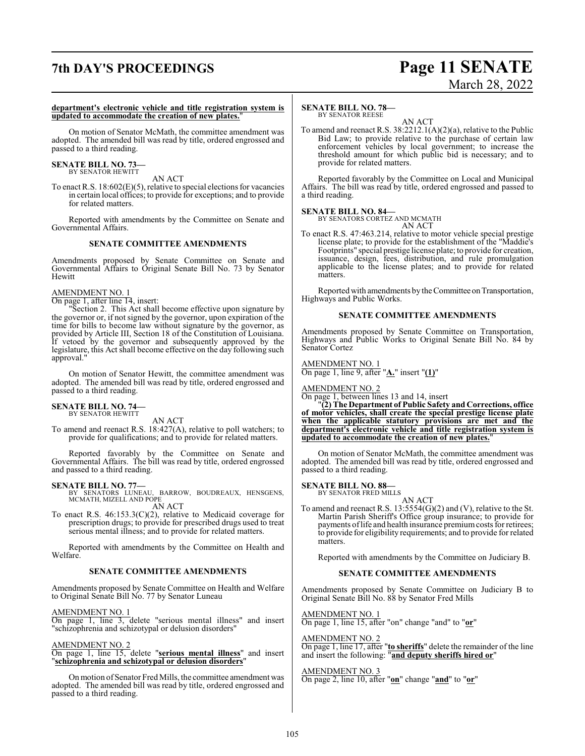## **7th DAY'S PROCEEDINGS Page 11 SENATE**

# March 28, 2022

### **department's electronic vehicle and title registration system is updated to accommodate the creation of new plates.**"

On motion of Senator McMath, the committee amendment was adopted. The amended bill was read by title, ordered engrossed and passed to a third reading.

### **SENATE BILL NO. 73—** BY SENATOR HEWITT

AN ACT

To enact R.S. 18:602(E)(5), relative to special elections for vacancies in certain local offices; to provide for exceptions; and to provide for related matters.

Reported with amendments by the Committee on Senate and Governmental Affairs.

### **SENATE COMMITTEE AMENDMENTS**

Amendments proposed by Senate Committee on Senate and Governmental Affairs to Original Senate Bill No. 73 by Senator Hewitt

### AMENDMENT NO. 1

On page 1, after line 14, insert:

"Section 2. This Act shall become effective upon signature by the governor or, if not signed by the governor, upon expiration of the time for bills to become law without signature by the governor, as provided by Article III, Section 18 of the Constitution of Louisiana. If vetoed by the governor and subsequently approved by the legislature, this Act shall become effective on the day following such approval."

On motion of Senator Hewitt, the committee amendment was adopted. The amended bill was read by title, ordered engrossed and passed to a third reading.

## **SENATE BILL NO. 74—**<br>BY SENATOR HEWITT

AN ACT

To amend and reenact R.S. 18:427(A), relative to poll watchers; to provide for qualifications; and to provide for related matters.

Reported favorably by the Committee on Senate and Governmental Affairs. The bill was read by title, ordered engrossed and passed to a third reading.

**SENATE BILL NO. 77—**<br>BY SENATORS LUNEAU, BARROW, BOUDREAUX, HENSGENS,<br>MCMATH, MIZELL AND POPE

AN ACT

To enact R.S. 46:153.3(C)(2), relative to Medicaid coverage for prescription drugs; to provide for prescribed drugs used to treat serious mental illness; and to provide for related matters.

Reported with amendments by the Committee on Health and Welfare.

### **SENATE COMMITTEE AMENDMENTS**

Amendments proposed by Senate Committee on Health and Welfare to Original Senate Bill No. 77 by Senator Luneau

AMENDMENT NO. 1 On page 1, line 3, delete "serious mental illness" and insert

"schizophrenia and schizotypal or delusion disorders"

AMENDMENT NO. 2

On page 1, line 15, delete "**serious mental illness**" and insert "**schizophrenia and schizotypal or delusion disorders**"

On motion of Senator Fred Mills, the committee amendment was adopted. The amended bill was read by title, ordered engrossed and passed to a third reading.

## **SENATE BILL NO. 78—**

BY SENATOR REESE

AN ACT To amend and reenact R.S. 38:2212.1(A)(2)(a), relative to the Public Bid Law; to provide relative to the purchase of certain law enforcement vehicles by local government; to increase the threshold amount for which public bid is necessary; and to provide for related matters.

Reported favorably by the Committee on Local and Municipal Affairs. The bill was read by title, ordered engrossed and passed to a third reading.

### **SENATE BILL NO. 84—**

BY SENATORS CORTEZ AND MCMATH AN ACT

To enact R.S. 47:463.214, relative to motor vehicle special prestige license plate; to provide for the establishment of the "Maddie's Footprints" special prestige license plate; to provide for creation, issuance, design, fees, distribution, and rule promulgation applicable to the license plates; and to provide for related matters.

Reported with amendments by the Committee on Transportation, Highways and Public Works.

### **SENATE COMMITTEE AMENDMENTS**

Amendments proposed by Senate Committee on Transportation, Highways and Public Works to Original Senate Bill No. 84 by Senator Cortez

AMENDMENT NO. 1 On page 1, line 9, after "**A.**" insert "**(1)**"

AMENDMENT NO. 2

On page 1, between lines 13 and 14, insert

"**(2) The Department of Public Safety and Corrections, office of motor vehicles, shall create the special prestige license plate when the applicable statutory provisions are met and the department's electronic vehicle and title registration system is updated to accommodate the creation of new plates.**"

On motion of Senator McMath, the committee amendment was adopted. The amended bill was read by title, ordered engrossed and passed to a third reading.

### **SENATE BILL NO. 88—**

BY SENATOR FRED MILLS

AN ACT To amend and reenact R.S.  $13:5554(G)(2)$  and (V), relative to the St. Martin Parish Sheriff's Office group insurance; to provide for payments of life and health insurance premium costs for retirees; to provide for eligibility requirements; and to provide for related matters.

Reported with amendments by the Committee on Judiciary B.

### **SENATE COMMITTEE AMENDMENTS**

Amendments proposed by Senate Committee on Judiciary B to Original Senate Bill No. 88 by Senator Fred Mills

AMENDMENT NO. 1

On page 1, line 15, after "on" change "and" to "**or**"

AMENDMENT NO. 2 On page 1, line 17, after "**to sheriffs**" delete the remainder of the line and insert the following: "**and deputy sheriffs hired or**"

### AMENDMENT NO. 3

On page 2, line 10, after "**on**" change "**and**" to "**or**"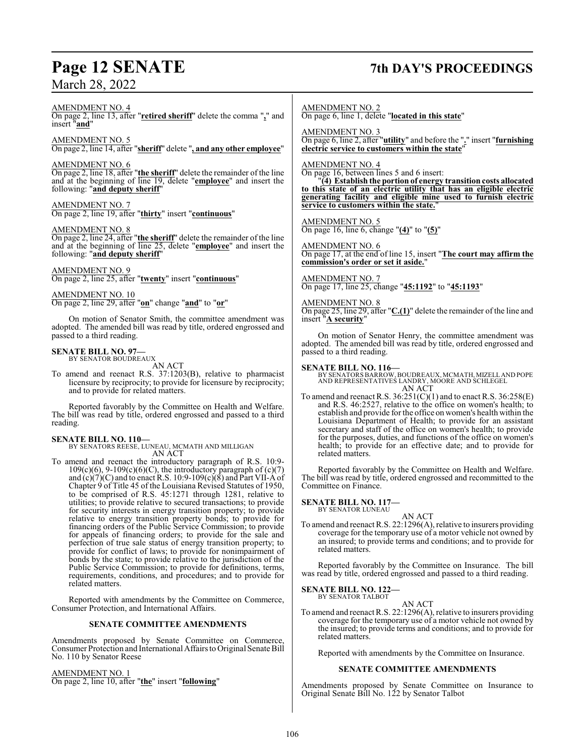# **Page 12 SENATE 7th DAY'S PROCEEDINGS**

AMENDMENT NO. 4

On page 2, line 13, after "**retired sheriff**" delete the comma "**,**" and insert "**and**"

AMENDMENT NO. 5 On page 2, line 14, after "**sheriff**" delete "**, and any other employee**"

### AMENDMENT NO. 6

On page 2, line 18, after "**the sheriff**" delete the remainder of the line and at the beginning of line 19, delete "**employee**" and insert the following: "**and deputy sheriff**"

AMENDMENT NO. 7 On page 2, line 19, after "**thirty**" insert "**continuous**"

### AMENDMENT NO. 8

On page 2, line 24, after "**the sheriff**" delete the remainder of the line and at the beginning of line 25, delete "**employee**" and insert the following: "**and deputy sheriff**"

### AMENDMENT NO. 9

On page 2, line 25, after "**twenty**" insert "**continuous**"

AMENDMENT NO. 10

On page 2, line 29, after "**on**" change "**and**" to "**or**"

On motion of Senator Smith, the committee amendment was adopted. The amended bill was read by title, ordered engrossed and passed to a third reading.

## **SENATE BILL NO. 97—** BY SENATOR BOUDREAUX

AN ACT

To amend and reenact R.S. 37:1203(B), relative to pharmacist licensure by reciprocity; to provide for licensure by reciprocity; and to provide for related matters.

Reported favorably by the Committee on Health and Welfare. The bill was read by title, ordered engrossed and passed to a third reading.

### **SENATE BILL NO. 110—**

BY SENATORS REESE, LUNEAU, MCMATH AND MILLIGAN AN ACT

To amend and reenact the introductory paragraph of R.S. 10:9-  $109(c)(6)$ ,  $9-109(c)(6)(C)$ , the introductory paragraph of  $(c)(7)$ and  $(c)(7)(C)$  and to enact R.S. 10:9-109 $(c)(8)$  and Part VII-A of Chapter 9 of Title 45 of the Louisiana Revised Statutes of 1950, to be comprised of R.S. 45:1271 through 1281, relative to utilities; to provide relative to secured transactions; to provide for security interests in energy transition property; to provide relative to energy transition property bonds; to provide for financing orders of the Public Service Commission; to provide for appeals of financing orders; to provide for the sale and perfection of true sale status of energy transition property; to provide for conflict of laws; to provide for nonimpairment of bonds by the state; to provide relative to the jurisdiction of the Public Service Commission; to provide for definitions, terms, requirements, conditions, and procedures; and to provide for related matters.

Reported with amendments by the Committee on Commerce, Consumer Protection, and International Affairs.

### **SENATE COMMITTEE AMENDMENTS**

Amendments proposed by Senate Committee on Commerce, Consumer Protection and International Affairs to Original Senate Bill No. 110 by Senator Reese

### AMENDMENT NO. 1

On page 2, line 10, after "**the**" insert "**following**"

AMENDMENT NO. 2 On page 6, line 1, delete "**located in this state**"

AMENDMENT NO. 3 On page 6, line 2, after "**utility**" and before the "**.**" insert "**furnishing electric service to customers within the state**"

AMENDMENT NO. 4

On page 16, between lines 5 and 6 insert:

"**(4) Establish the portion of energy transition costs allocated to this state of an electric utility that has an eligible electric generating facility and eligible mine used to furnish electric service to customers within the state.**"

AMENDMENT NO. 5

On page 16, line 6, change "**(4)**" to "**(5)**"

AMENDMENT NO. 6 On page 17, at the end of line 15, insert "**The court may affirm the commission's order or set it aside.**"

AMENDMENT NO. 7 On page 17, line 25, change "**45:1192**" to "**45:1193**"

### AMENDMENT NO. 8

On page 25, line 29, after "**C.(1)**" delete the remainder of the line and insert "**A security**"

On motion of Senator Henry, the committee amendment was adopted. The amended bill was read by title, ordered engrossed and passed to a third reading.

- **SENATE BILL NO. 116—** BY SENATORS BARROW,BOUDREAUX, MCMATH, MIZELLAND POPE AND REPRESENTATIVES LANDRY, MOORE AND SCHLEGEL AN ACT
- To amend and reenact R.S.  $36:251(C)(1)$  and to enact R.S.  $36:258(E)$ and R.S. 46:2527, relative to the office on women's health; to establish and provide for the office on women's health within the Louisiana Department of Health; to provide for an assistant secretary and staff of the office on women's health; to provide for the purposes, duties, and functions of the office on women's health; to provide for an effective date; and to provide for related matters.

Reported favorably by the Committee on Health and Welfare. The bill was read by title, ordered engrossed and recommitted to the Committee on Finance.

## **SENATE BILL NO. 117—** BY SENATOR LUNEAU

AN ACT To amend and reenact R.S. 22:1296(A), relative to insurers providing coverage for the temporary use of a motor vehicle not owned by an insured; to provide terms and conditions; and to provide for related matters.

Reported favorably by the Committee on Insurance. The bill was read by title, ordered engrossed and passed to a third reading.

### **SENATE BILL NO. 122—** BY SENATOR TALBOT

AN ACT

To amend and reenact R.S. 22:1296(A), relative to insurers providing coverage for the temporary use of a motor vehicle not owned by the insured; to provide terms and conditions; and to provide for related matters.

Reported with amendments by the Committee on Insurance.

### **SENATE COMMITTEE AMENDMENTS**

Amendments proposed by Senate Committee on Insurance to Original Senate Bill No. 122 by Senator Talbot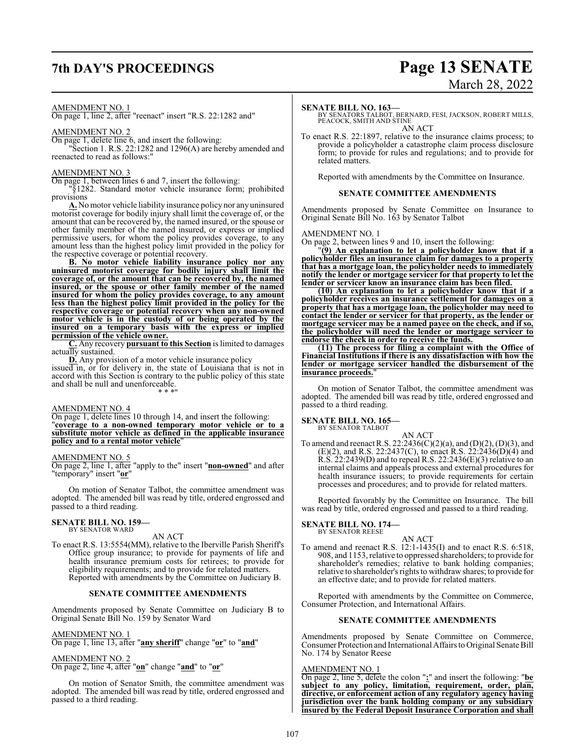# **7th DAY'S PROCEEDINGS Page 13 SENATE**

# March 28, 2022

### AMENDMENT NO. 1

On page 1, line 2, after "reenact" insert "R.S. 22:1282 and"

### AMENDMENT NO. 2

On page 1, delete line 6, and insert the following:

"Section 1. R.S. 22:1282 and 1296(A) are hereby amended and reenacted to read as follows:"

### AMENDMENT NO. 3

On page 1, between lines 6 and 7, insert the following:

"§1282. Standard motor vehicle insurance form; prohibited provisions

**A.** No motor vehicle liability insurance policy nor any uninsured motorist coverage for bodily injury shall limit the coverage of, or the amount that can be recovered by, the named insured, or the spouse or other family member of the named insured, or express or implied permissive users, for whom the policy provides coverage, to any amount less than the highest policy limit provided in the policy for the respective coverage or potential recovery.

**B. No motor vehicle liability insurance policy nor any uninsured motorist coverage for bodily injury shall limit the coverage of, or the amount that can be recovered by, the named insured, or the spouse or other family member of the named insured for whom the policy provides coverage, to any amount less than the highest policy limit provided in the policy for the respective coverage or potential recovery when any non-owned motor vehicle is in the custody of or being operated by the insured on a temporary basis with the express or implied permission of the vehicle owner.**

**C.** Any recovery **pursuant to this Section** is limited to damages actually sustained.

**D.** Any provision of a motor vehicle insurance policy issued in, or for delivery in, the state of Louisiana that is not in accord with this Section is contrary to the public policy of this state and shall be null and unenforceable. \* \* \*"

### AMENDMENT NO. 4

On page 1, delete lines 10 through 14, and insert the following: "**coverage to a non-owned temporary motor vehicle or to a substitute motor vehicle as defined in the applicable insurance policy and to a rental motor vehicle**"

### AMENDMENT NO. 5

On page 2, line 1, after "apply to the" insert "**non-owned**" and after "temporary" insert "**or**"

On motion of Senator Talbot, the committee amendment was adopted. The amended bill was read by title, ordered engrossed and passed to a third reading.

## **SENATE BILL NO. 159—** BY SENATOR WARD

AN ACT

To enact R.S. 13:5554(MM), relative to the Iberville Parish Sheriff's Office group insurance; to provide for payments of life and health insurance premium costs for retirees; to provide for eligibility requirements; and to provide for related matters. Reported with amendments by the Committee on Judiciary B.

### **SENATE COMMITTEE AMENDMENTS**

Amendments proposed by Senate Committee on Judiciary B to Original Senate Bill No. 159 by Senator Ward

AMENDMENT NO. 1

On page 1, line 13, after "**any sheriff**" change "**or**" to "**and**"

### AMENDMENT NO. 2

On page 2, line 4, after "**on**" change "**and**" to "**or**"

On motion of Senator Smith, the committee amendment was adopted. The amended bill was read by title, ordered engrossed and passed to a third reading.

### **SENATE BILL NO. 163—**

BY SENATORS TALBOT, BERNARD, FESI, JACKSON, ROBERT MILLS, PEACOCK, SMITH AND STINE AN ACT

To enact R.S. 22:1897, relative to the insurance claims process; to provide a policyholder a catastrophe claim process disclosure form; to provide for rules and regulations; and to provide for related matters.

Reported with amendments by the Committee on Insurance.

### **SENATE COMMITTEE AMENDMENTS**

Amendments proposed by Senate Committee on Insurance to Original Senate Bill No. 163 by Senator Talbot

AMENDMENT NO. 1

On page 2, between lines 9 and 10, insert the following:

"**(9) An explanation to let a policyholder know that if a policyholder files an insurance claim for damages to a property that has a mortgage loan, the policyholder needs to immediately notify the lender or mortgage servicer for that property to let the lender or servicer know an insurance claim has been filed.**

**(10) An explanation to let a policyholder know that if a policyholder receives an insurance settlement for damages on a property that has a mortgage loan, the policyholder may need to contact the lender or servicer for that property, as the lender or mortgage servicer may be a named payee on the check, and if so, the policyholder will need the lender or mortgage servicer to endorse the check in order to receive the funds.**

**(11) The process for filing a complaint with the Office of Financial Institutions if there is any dissatisfaction with how the lender or mortgage servicer handled the disbursement of the insurance proceeds.**"

On motion of Senator Talbot, the committee amendment was adopted. The amended bill was read by title, ordered engrossed and passed to a third reading.

### **SENATE BILL NO. 165—** BY SENATOR TALBOT

AN ACT

To amend and reenact R.S. 22:2436(C)(2)(a), and (D)(2), (D)(3), and (E)(2), and R.S. 22:2437(C), to enact R.S. 22:2436(D)(4) and R.S. 22:2439(D) and to repeal R.S. 22:2436(E)(3) relative to an internal claims and appeals process and external procedures for health insurance issuers; to provide requirements for certain processes and procedures; and to provide for related matters.

Reported favorably by the Committee on Insurance. The bill was read by title, ordered engrossed and passed to a third reading.

## **SENATE BILL NO. 174—** BY SENATOR REESE

AN ACT

To amend and reenact R.S. 12:1-1435(I) and to enact R.S. 6:518, 908, and 1153, relative to oppressed shareholders; to provide for shareholder's remedies; relative to bank holding companies; relative to shareholder's rights to withdrawshares; to provide for an effective date; and to provide for related matters.

Reported with amendments by the Committee on Commerce, Consumer Protection, and International Affairs.

### **SENATE COMMITTEE AMENDMENTS**

Amendments proposed by Senate Committee on Commerce, Consumer Protection and International Affairs to Original Senate Bill No. 174 by Senator Reese

### AMENDMENT NO. 1

On page 2, line 5, delete the colon "**:**" and insert the following: "**be subject to any policy, limitation, requirement, order, plan, directive, or enforcement action of any regulatory agency having jurisdiction over the bank holding company or any subsidiary insured by the Federal Deposit Insurance Corporation and shall**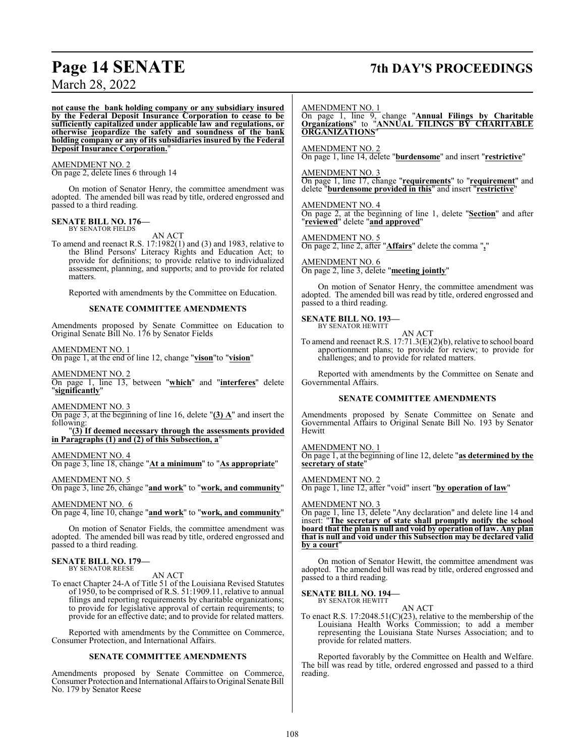## **Page 14 SENATE 7th DAY'S PROCEEDINGS**

March 28, 2022

**not cause the bank holding company or any subsidiary insured by the Federal Deposit Insurance Corporation to cease to be sufficiently capitalized under applicable law and regulations, or otherwise jeopardize the safety and soundness of the bank holding company or any of its subsidiaries insured by the Federal Deposit Insurance Corporation.**"

AMENDMENT NO. 2

On page 2, delete lines 6 through 14

On motion of Senator Henry, the committee amendment was adopted. The amended bill was read by title, ordered engrossed and passed to a third reading.

**SENATE BILL NO. 176—** BY SENATOR FIELDS

AN ACT

To amend and reenact R.S. 17:1982(1) and (3) and 1983, relative to the Blind Persons' Literacy Rights and Education Act; to provide for definitions; to provide relative to individualized assessment, planning, and supports; and to provide for related matters.

Reported with amendments by the Committee on Education.

### **SENATE COMMITTEE AMENDMENTS**

Amendments proposed by Senate Committee on Education to Original Senate Bill No. 176 by Senator Fields

### AMENDMENT NO. 1

On page 1, at the end of line 12, change "**vison**"to "**vision**"

AMENDMENT NO. 2 On page 1, line 13, between "**which**" and "**interferes**" delete "**significantly**"

### AMENDMENT NO. 3

On page 3, at the beginning of line 16, delete "**(3) A**" and insert the following:

"**(3) If deemed necessary through the assessments provided in Paragraphs (1) and (2) of this Subsection, a**"

### AMENDMENT NO. 4

On page 3, line 18, change "**At a minimum**" to "**As appropriate**"

### AMENDMENT NO. 5

On page 3, line 26, change "**and work**" to "**work, and community**"

AMENDMENT NO. 6

On page 4, line 10, change "**and work**" to "**work, and community**"

On motion of Senator Fields, the committee amendment was adopted. The amended bill was read by title, ordered engrossed and passed to a third reading.

### **SENATE BILL NO. 179—** BY SENATOR REESE

AN ACT

To enact Chapter 24-A of Title 51 of the Louisiana Revised Statutes of 1950, to be comprised of R.S. 51:1909.11, relative to annual filings and reporting requirements by charitable organizations; to provide for legislative approval of certain requirements; to provide for an effective date; and to provide for related matters.

Reported with amendments by the Committee on Commerce, Consumer Protection, and International Affairs.

### **SENATE COMMITTEE AMENDMENTS**

Amendments proposed by Senate Committee on Commerce, Consumer Protection and International Affairs to Original Senate Bill No. 179 by Senator Reese

### AMENDMENT NO. 1

On page 1, line 9, change "**Annual Filings by Charitable Organizations**" to "**ANNUAL FILINGS BY CHARITABLE ORGANIZATIONS**"

### AMENDMENT NO. 2

On page 1, line 14, delete "**burdensome**" and insert "**restrictive**"

### AMENDMENT NO. 3

On page 1, line 17, change "**requirements**" to "**requirement**" and delete "**burdensome provided in this**" and insert "**restrictive**"

### AMENDMENT NO. 4

On page 2, at the beginning of line 1, delete "**Section**" and after "**reviewed**" delete "**and approved**"

AMENDMENT NO. 5 On page 2, line 2, after "**Affairs**" delete the comma "**,**"

AMENDMENT NO. 6 On page 2, line 3, delete "**meeting jointly**"

On motion of Senator Henry, the committee amendment was adopted. The amended bill was read by title, ordered engrossed and passed to a third reading.

### **SENATE BILL NO. 193—** BY SENATOR HEWITT

AN ACT

To amend and reenact R.S. 17:71.3(E)(2)(b), relative to school board apportionment plans; to provide for review; to provide for challenges; and to provide for related matters.

Reported with amendments by the Committee on Senate and Governmental Affairs.

### **SENATE COMMITTEE AMENDMENTS**

Amendments proposed by Senate Committee on Senate and Governmental Affairs to Original Senate Bill No. 193 by Senator Hewitt

AMENDMENT NO. 1 On page 1, at the beginning of line 12, delete "**as determined by the secretary of state**"

AMENDMENT NO. 2 On page 1, line 12, after "void" insert "**by operation of law**"

### AMENDMENT NO. 3

On page 1, line 13, delete "Any declaration" and delete line 14 and insert: "**The secretary of state shall promptly notify the school board that the plan is null and void by operation of law. Any plan that is null and void under this Subsection may be declared valid** by a court

On motion of Senator Hewitt, the committee amendment was adopted. The amended bill was read by title, ordered engrossed and passed to a third reading.

### **SENATE BILL NO. 194—** BY SENATOR HEWITT

AN ACT

To enact R.S.  $17:2048.51(C)(23)$ , relative to the membership of the Louisiana Health Works Commission; to add a member representing the Louisiana State Nurses Association; and to provide for related matters.

Reported favorably by the Committee on Health and Welfare. The bill was read by title, ordered engrossed and passed to a third reading.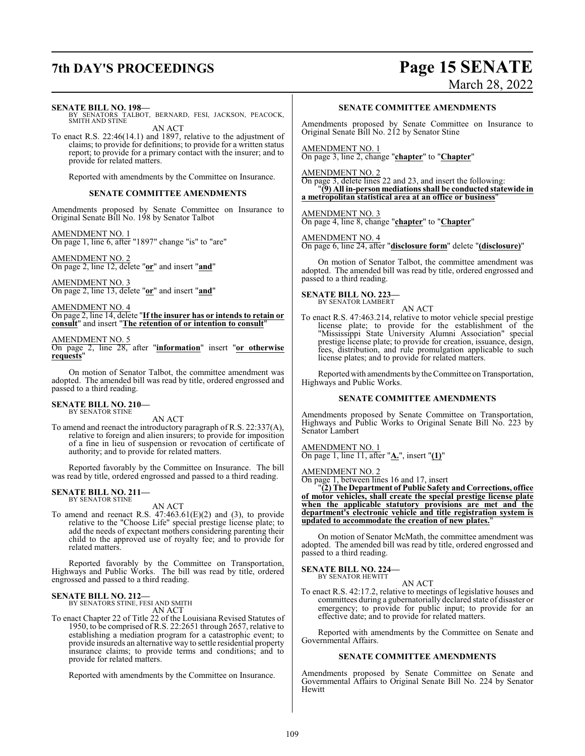# **7th DAY'S PROCEEDINGS Page 15 SENATE**

March 28, 2022

**SENATE BILL NO. 198—**

BY SENATORS TALBOT, BERNARD, FESI, JACKSON, PEACOCK, SMITH AND STINE AN ACT

To enact R.S. 22:46(14.1) and 1897, relative to the adjustment of claims; to provide for definitions; to provide for a written status report; to provide for a primary contact with the insurer; and to provide for related matters.

Reported with amendments by the Committee on Insurance.

### **SENATE COMMITTEE AMENDMENTS**

Amendments proposed by Senate Committee on Insurance to Original Senate Bill No. 198 by Senator Talbot

AMENDMENT NO. 1 On page 1, line 6, after "1897" change "is" to "are"

AMENDMENT NO. 2 On page 2, line 12, delete "**or**" and insert "**and**"

AMENDMENT NO. 3 On page 2, line 13, delete "**or**" and insert "**and**"

AMENDMENT NO. 4 On page 2, line 14, delete "**If the insurer has or intends to retain or consult**" and insert "**The retention of or intention to consult**"

### AMENDMENT NO. 5

On page 2, line 28, after "**information**" insert "**or otherwise requests**"

On motion of Senator Talbot, the committee amendment was adopted. The amended bill was read by title, ordered engrossed and passed to a third reading.

# **SENATE BILL NO. 210—** BY SENATOR STINE

AN ACT

To amend and reenact the introductory paragraph of R.S. 22:337(A), relative to foreign and alien insurers; to provide for imposition of a fine in lieu of suspension or revocation of certificate of authority; and to provide for related matters.

Reported favorably by the Committee on Insurance. The bill was read by title, ordered engrossed and passed to a third reading.

## **SENATE BILL NO. 211—** BY SENATOR STINE

AN ACT

To amend and reenact R.S.  $47:463.61(E)(2)$  and (3), to provide relative to the "Choose Life" special prestige license plate; to add the needs of expectant mothers considering parenting their child to the approved use of royalty fee; and to provide for related matters.

Reported favorably by the Committee on Transportation, Highways and Public Works. The bill was read by title, ordered engrossed and passed to a third reading.

### **SENATE BILL NO. 212—**

BY SENATORS STINE, FESI AND SMITH

AN ACT

To enact Chapter 22 of Title 22 of the Louisiana Revised Statutes of 1950, to be comprised of R.S. 22:2651 through 2657, relative to establishing a mediation program for a catastrophic event; to provide insureds an alternative way to settle residential property insurance claims; to provide terms and conditions; and to provide for related matters.

Reported with amendments by the Committee on Insurance.

### **SENATE COMMITTEE AMENDMENTS**

Amendments proposed by Senate Committee on Insurance to Original Senate Bill No. 212 by Senator Stine

AMENDMENT NO. 1 On page 3, line 2, change "**chapter**" to "**Chapter**"

### AMENDMENT NO. 2

On page 3, delete lines 22 and 23, and insert the following: "**(9) All in-person mediations shall be conducted statewide in a metropolitan statistical area at an office or business**"

## AMENDMENT NO. 3

On page 4, line 8, change "**chapter**" to "**Chapter**"

AMENDMENT NO. 4

On page 6, line 24, after "**disclosure form**" delete "**(disclosure)**"

On motion of Senator Talbot, the committee amendment was adopted. The amended bill was read by title, ordered engrossed and passed to a third reading.

### **SENATE BILL NO. 223—** BY SENATOR LAMBERT

AN ACT

To enact R.S. 47:463.214, relative to motor vehicle special prestige license plate; to provide for the establishment of the "Mississippi State University Alumni Association" special prestige license plate; to provide for creation, issuance, design, fees, distribution, and rule promulgation applicable to such license plates; and to provide for related matters.

Reported with amendments by the Committee on Transportation, Highways and Public Works.

### **SENATE COMMITTEE AMENDMENTS**

Amendments proposed by Senate Committee on Transportation, Highways and Public Works to Original Senate Bill No. 223 by Senator Lambert

AMENDMENT NO. 1 On page 1, line 11, after "**A.**", insert "**(1)**"

AMENDMENT NO. 2

On page 1, between lines 16 and 17, insert

"**(2) The Department of Public Safety and Corrections, office of motor vehicles, shall create the special prestige license plate when the applicable statutory provisions are met and the department's electronic vehicle and title registration system is updated to accommodate the creation of new plates.**"

On motion of Senator McMath, the committee amendment was adopted. The amended bill was read by title, ordered engrossed and passed to a third reading.

**SENATE BILL NO. 224—** BY SENATOR HEWITT

AN ACT

To enact R.S. 42:17.2, relative to meetings of legislative houses and committees during a gubernatorially declared state of disaster or emergency; to provide for public input; to provide for an effective date; and to provide for related matters.

Reported with amendments by the Committee on Senate and Governmental Affairs.

### **SENATE COMMITTEE AMENDMENTS**

Amendments proposed by Senate Committee on Senate and Governmental Affairs to Original Senate Bill No. 224 by Senator Hewitt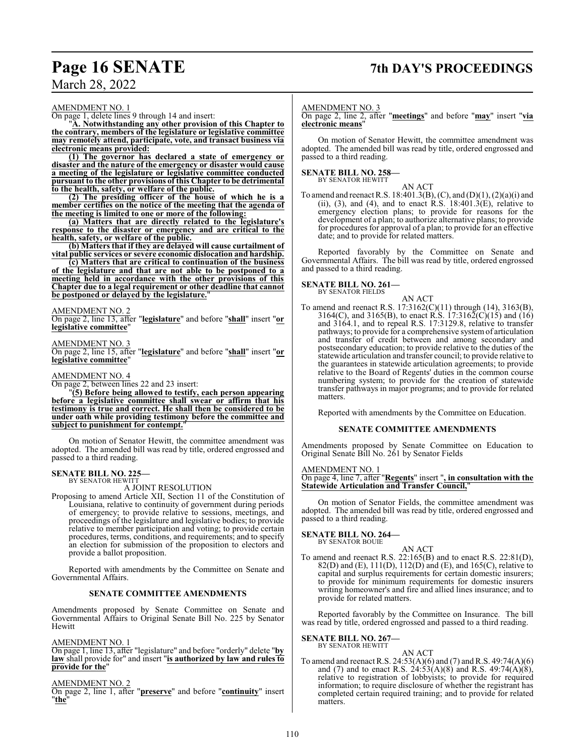## **Page 16 SENATE 7th DAY'S PROCEEDINGS**

## March 28, 2022

### AMENDMENT NO. 1

On page 1, delete lines 9 through 14 and insert:

"**A. Notwithstanding any other provision of this Chapter to the contrary, members of the legislature or legislative committee may remotely attend, participate, vote, and transact business via electronic means provided:**

**(1) The governor has declared a state of emergency or disaster and the nature of the emergency or disaster would cause a meeting of the legislature or legislative committee conducted pursuant to the other provisions of this Chapter to be detrimental to the health, safety, or welfare of the public.**

**(2) The presiding officer of the house of which he is a member certifies on the notice of the meeting that the agenda of the meeting is limited to one or more of the following:**

**(a) Matters that are directly related to the legislature's response to the disaster or emergency and are critical to the health, safety, or welfare of the public.**

**(b) Matters that if they are delayed will cause curtailment of vital public services or severe economic dislocation and hardship.**

**(c) Matters that are critical to continuation of the business of the legislature and that are not able to be postponed to a meeting held in accordance with the other provisions of this Chapter due to a legal requirement or other deadline that cannot** be postponed or delayed by the legislature.

### AMENDMENT NO. 2

On page 2, line 13, after "**legislature**" and before "**shall**" insert "**or legislative committee**"

### AMENDMENT NO. 3

On page 2, line 15, after "**legislature**" and before "**shall**" insert "**or legislative committee**"

### AMENDMENT NO. 4

On page 2, between lines 22 and 23 insert:

"**(5) Before being allowed to testify, each person appearing before a legislative committee shall swear or affirm that his testimony is true and correct. He shall then be considered to be under oath while providing testimony before the committee and subject to punishment for contempt.**"

On motion of Senator Hewitt, the committee amendment was adopted. The amended bill was read by title, ordered engrossed and passed to a third reading.

### **SENATE BILL NO. 225—** BY SENATOR HEWITT

A JOINT RESOLUTION

Proposing to amend Article XII, Section 11 of the Constitution of Louisiana, relative to continuity of government during periods of emergency; to provide relative to sessions, meetings, and proceedings of the legislature and legislative bodies; to provide relative to member participation and voting; to provide certain procedures, terms, conditions, and requirements; and to specify an election for submission of the proposition to electors and provide a ballot proposition.

Reported with amendments by the Committee on Senate and Governmental Affairs.

### **SENATE COMMITTEE AMENDMENTS**

Amendments proposed by Senate Committee on Senate and Governmental Affairs to Original Senate Bill No. 225 by Senator Hewitt

### AMENDMENT NO. 1

On page 1, line 13, after "legislature" and before "orderly" delete "**by law** shall provide for" and insert "**is authorized by law and rules to provide for the**"

### AMENDMENT NO. 2

On page 2, line 1, after "**preserve**" and before "**continuity**" insert "**the**"

### AMENDMENT NO. 3

On page 2, line 2, after "**meetings**" and before "**may**" insert "**via electronic means**"

On motion of Senator Hewitt, the committee amendment was adopted. The amended bill was read by title, ordered engrossed and passed to a third reading.

# **SENATE BILL NO. 258—** BY SENATOR HEWITT

AN ACT

To amend and reenact R.S. 18:401.3(B), (C), and (D)(1), (2)(a)(i) and (ii), (3), and (4), and to enact R.S.  $18:401.3(E)$ , relative to emergency election plans; to provide for reasons for the development of a plan; to authorize alternative plans; to provide for procedures for approval of a plan; to provide for an effective date; and to provide for related matters.

Reported favorably by the Committee on Senate and Governmental Affairs. The bill was read by title, ordered engrossed and passed to a third reading.

### **SENATE BILL NO. 261—** BY SENATOR FIELDS

AN ACT To amend and reenact R.S. 17:3162(C)(11) through (14), 3163(B), 3164(C), and 3165(B), to enact R.S. 17:3162(C)(15) and (16) and 3164.1, and to repeal R.S. 17:3129.8, relative to transfer pathways; to provide for a comprehensive systemof articulation and transfer of credit between and among secondary and postsecondary education; to provide relative to the duties of the statewide articulation and transfer council; to provide relative to the guarantees in statewide articulation agreements; to provide relative to the Board of Regents' duties in the common course numbering system; to provide for the creation of statewide transfer pathways in major programs; and to provide for related matters.

Reported with amendments by the Committee on Education.

### **SENATE COMMITTEE AMENDMENTS**

Amendments proposed by Senate Committee on Education to Original Senate Bill No. 261 by Senator Fields

### AME<u>NDMENT NO. 1</u>

On page 4, line 7, after "**Regents**" insert "**, in consultation with the Statewide Articulation and Transfer Council,**"

On motion of Senator Fields, the committee amendment was adopted. The amended bill was read by title, ordered engrossed and passed to a third reading.

# **SENATE BILL NO. 264—**<br>BY SENATOR BOUIE

AN ACT

To amend and reenact R.S. 22:165(B) and to enact R.S. 22:81(D), 82(D) and (E), 111(D), 112(D) and (E), and 165(C), relative to capital and surplus requirements for certain domestic insurers; to provide for minimum requirements for domestic insurers writing homeowner's and fire and allied lines insurance; and to provide for related matters.

Reported favorably by the Committee on Insurance. The bill was read by title, ordered engrossed and passed to a third reading.

## **SENATE BILL NO. 267—** BY SENATOR HEWITT

To amend and reenact R.S. 24:53(A)(6) and (7) and R.S. 49:74(A)(6) and (7) and to enact R.S.  $24:53(A)(8)$  and R.S.  $49:74(A)(8)$ , relative to registration of lobbyists; to provide for required information; to require disclosure of whether the registrant has completed certain required training; and to provide for related matters.

AN ACT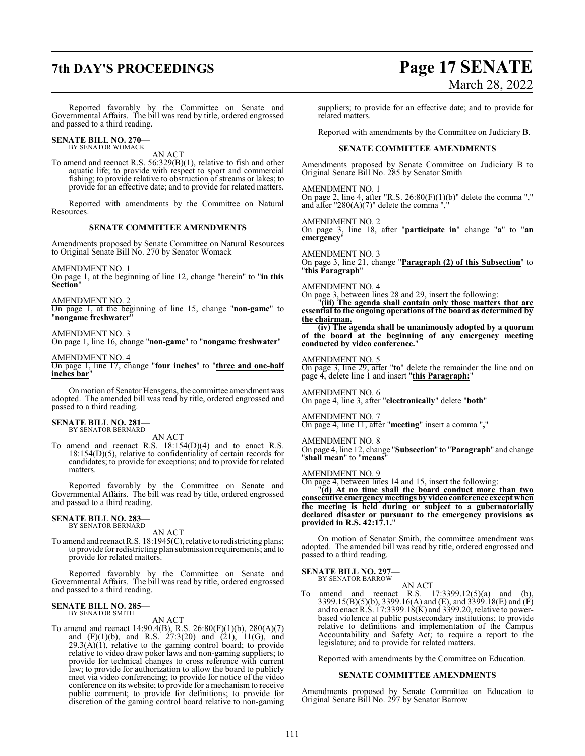# **7th DAY'S PROCEEDINGS Page 17 SENATE**

# March 28, 2022

Reported favorably by the Committee on Senate and Governmental Affairs. The bill was read by title, ordered engrossed and passed to a third reading.

**SENATE BILL NO. 270—** BY SENATOR WOMACK

AN ACT

To amend and reenact R.S. 56:329(B)(1), relative to fish and other aquatic life; to provide with respect to sport and commercial fishing; to provide relative to obstruction of streams or lakes; to provide for an effective date; and to provide for related matters.

Reported with amendments by the Committee on Natural Resources.

### **SENATE COMMITTEE AMENDMENTS**

Amendments proposed by Senate Committee on Natural Resources to Original Senate Bill No. 270 by Senator Womack

AMENDMENT NO. 1

On page 1, at the beginning of line 12, change "herein" to "**in this Section**"

AMENDMENT NO. 2

On page 1, at the beginning of line 15, change "**non-game**" to "**nongame freshwater**"

### AMENDMENT NO. 3

On page 1, line 16, change "**non-game**" to "**nongame freshwater**"

### AMENDMENT NO. 4

On page 1, line 17, change "**four inches**" to "**three and one-half inches bar**"

On motion of Senator Hensgens, the committee amendment was adopted. The amended bill was read by title, ordered engrossed and passed to a third reading.

### **SENATE BILL NO. 281—** BY SENATOR BERNARD

AN ACT

To amend and reenact R.S. 18:154(D)(4) and to enact R.S. 18:154(D)(5), relative to confidentiality of certain records for candidates; to provide for exceptions; and to provide for related matters.

Reported favorably by the Committee on Senate and Governmental Affairs. The bill was read by title, ordered engrossed and passed to a third reading.

### **SENATE BILL NO. 283—** BY SENATOR BERNARD

AN ACT

To amend and reenact R.S. 18:1945(C), relative to redistricting plans; to provide for redistricting plan submission requirements; and to provide for related matters.

Reported favorably by the Committee on Senate and Governmental Affairs. The bill was read by title, ordered engrossed and passed to a third reading.

### **SENATE BILL NO. 285—** BY SENATOR SMITH

AN ACT

To amend and reenact 14:90.4(B), R.S. 26:80(F)(1)(b), 280(A)(7) and (F)(1)(b), and R.S. 27:3(20) and (21), 11(G), and  $29.3(A)(1)$ , relative to the gaming control board; to provide relative to video draw poker laws and non-gaming suppliers; to provide for technical changes to cross reference with current law; to provide for authorization to allow the board to publicly meet via video conferencing; to provide for notice of the video conference on its website; to provide for a mechanism to receive public comment; to provide for definitions; to provide for discretion of the gaming control board relative to non-gaming suppliers; to provide for an effective date; and to provide for related matters.

Reported with amendments by the Committee on Judiciary B.

### **SENATE COMMITTEE AMENDMENTS**

Amendments proposed by Senate Committee on Judiciary B to Original Senate Bill No. 285 by Senator Smith

AMENDMENT NO. 1

On page 2, line 4, after "R.S.  $26:80(F)(1)(b)$ " delete the comma "," and after "280(A)(7)" delete the comma ","

### AMENDMENT NO. 2

On page 3, line 18, after "**participate in**" change "**a**" to "**an emergency**"

### AMENDMENT NO. 3

On page 3, line 21, change "**Paragraph (2) of this Subsection**" to "**this Paragraph**"

### AMENDMENT NO. 4

On page 3, between lines 28 and 29, insert the following:

"**(iii) The agenda shall contain only those matters that are essential to the ongoing operations of the board as determined by the chairman.**

**(iv) The agenda shall be unanimously adopted by a quorum of the board at the beginning of any emergency meeting conducted by video conference.**"

### AMENDMENT NO. 5

On page 3, line 29, after "**to**" delete the remainder the line and on page 4, delete line 1 and insert "**this Paragraph:**"

AMENDMENT NO. 6 On page 4, line 3, after "**electronically**" delete "**both**"

### AMENDMENT NO. 7

On page 4, line 11, after "**meeting**" insert a comma "**,**"

### AMENDMENT NO. 8

On page 4, line 12, change "**Subsection**" to "**Paragraph**" and change "**shall mean**" to "**means**"

### AMENDMENT NO. 9

On page 4, between lines 14 and 15, insert the following:

"**(d) At no time shall the board conduct more than two consecutive emergency meetings by video conference except when the meeting is held during or subject to a gubernatorially declared disaster or pursuant to the emergency provisions as provided in R.S. 42:17.1.**"

On motion of Senator Smith, the committee amendment was adopted. The amended bill was read by title, ordered engrossed and passed to a third reading.

### **SENATE BILL NO. 297—**

BY SENATOR BARROW

AN ACT To amend and reenact R.S. 17:3399.12(5)(a) and (b), 3399.15(B)(5)(b), 3399.16(A) and (E), and 3399.18(E) and (F) and to enact R.S. 17:3399.18(K) and 3399.20, relative to powerbased violence at public postsecondary institutions; to provide relative to definitions and implementation of the Campus Accountability and Safety Act; to require a report to the legislature; and to provide for related matters.

Reported with amendments by the Committee on Education.

### **SENATE COMMITTEE AMENDMENTS**

Amendments proposed by Senate Committee on Education to Original Senate Bill No. 297 by Senator Barrow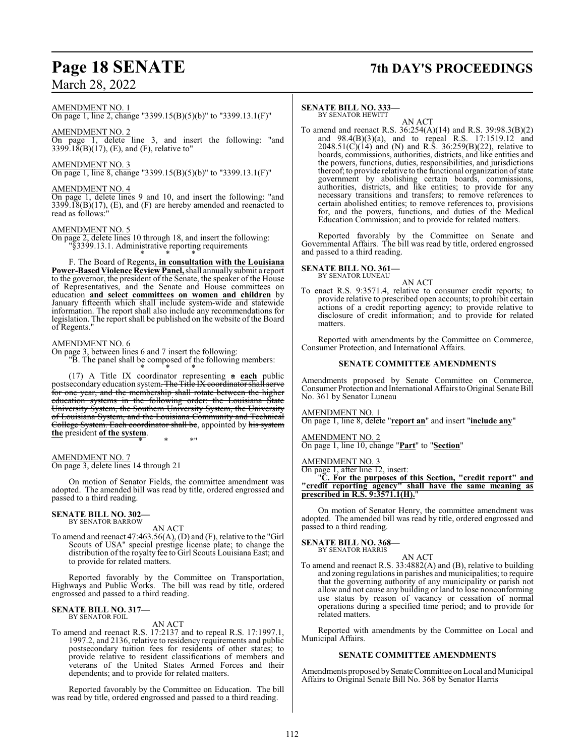### AMENDMENT NO. 1

On page 1, line 2, change "3399.15(B)(5)(b)" to "3399.13.1(F)"

### AMENDMENT NO. 2

On page 1, delete line 3, and insert the following: "and 3399.18(B)(17), (E), and (F), relative to"

### AMENDMENT NO. 3

On page 1, line 8, change "3399.15(B)(5)(b)" to "3399.13.1(F)"

### AMENDMENT NO. 4

On page 1, delete lines 9 and 10, and insert the following: "and  $3399.18(B)(17)$ , (E), and (F) are hereby amended and reenacted to read as follows:

### AMENDMENT NO. 5

On page 2, delete lines 10 through 18, and insert the following: '§3399.13.1. Administrative reporting requirements

\* \* \* F. The Board of Regents**, in consultation with the Louisiana** Power-Based Violence Review Panel, shall annually submit a report to the governor, the president of the Senate, the speaker of the House of Representatives, and the Senate and House committees on education **and select committees on women and children** by January fifteenth which shall include system-wide and statewide information. The report shall also include any recommendations for legislation. The report shall be published on the website of the Board of Regents."

### AMENDMENT NO. 6

On page 3, between lines 6 and 7 insert the following: "B. The panel shall be composed of the following members:

\* \* \* (17) A Title IX coordinator representing a **each** public postsecondary education system. The Title IX coordinator shall serve for one year, and the membership shall rotate between the higher education systems in the following order: the Louisiana State University System, the Southern University System, the University of Louisiana System, and the Louisiana Community and Technical College System. Each coordinator shall be, appointed by his system **the** president **of the system**.

\* \* \*"

### AMENDMENT NO. 7

On page 3, delete lines 14 through 21

On motion of Senator Fields, the committee amendment was adopted. The amended bill was read by title, ordered engrossed and passed to a third reading.

### **SENATE BILL NO. 302—** BY SENATOR BARROW

AN ACT

To amend and reenact 47:463.56(A), (D) and (F), relative to the "Girl Scouts of USA" special prestige license plate; to change the distribution of the royalty fee to Girl Scouts Louisiana East; and to provide for related matters.

Reported favorably by the Committee on Transportation, Highways and Public Works. The bill was read by title, ordered engrossed and passed to a third reading.

### **SENATE BILL NO. 317—** BY SENATOR FOIL

AN ACT

To amend and reenact R.S. 17:2137 and to repeal R.S. 17:1997.1, 1997.2, and 2136, relative to residency requirements and public postsecondary tuition fees for residents of other states; to provide relative to resident classifications of members and veterans of the United States Armed Forces and their dependents; and to provide for related matters.

Reported favorably by the Committee on Education. The bill was read by title, ordered engrossed and passed to a third reading.

## **Page 18 SENATE 7th DAY'S PROCEEDINGS**

### **SENATE BILL NO. 333—**

BY SENATOR HEWITT AN ACT

To amend and reenact R.S. 36:254(A)(14) and R.S. 39:98.3(B)(2) and 98.4(B)(3)(a), and to repeal R.S. 17:1519.12 and 2048.51(C)(14) and (N) and R.S. 36:259(B)(22), relative to boards, commissions, authorities, districts, and like entities and the powers, functions, duties, responsibilities, and jurisdictions thereof; to provide relative to the functional organization ofstate government by abolishing certain boards, commissions, authorities, districts, and like entities; to provide for any necessary transitions and transfers; to remove references to certain abolished entities; to remove references to, provisions for, and the powers, functions, and duties of the Medical Education Commission; and to provide for related matters.

Reported favorably by the Committee on Senate and Governmental Affairs. The bill was read by title, ordered engrossed and passed to a third reading.

**SENATE BILL NO. 361—** BY SENATOR LUNEAU

AN ACT

To enact R.S. 9:3571.4, relative to consumer credit reports; to provide relative to prescribed open accounts; to prohibit certain actions of a credit reporting agency; to provide relative to disclosure of credit information; and to provide for related matters.

Reported with amendments by the Committee on Commerce, Consumer Protection, and International Affairs.

### **SENATE COMMITTEE AMENDMENTS**

Amendments proposed by Senate Committee on Commerce, Consumer Protection and International AffairstoOriginal Senate Bill No. 361 by Senator Luneau

### AMENDMENT NO. 1

On page 1, line 8, delete "**report an**" and insert "**include any**"

AMENDMENT NO. 2 On page 1, line 10, change "**Part**" to "**Section**"

### AMENDMENT NO. 3

On page 1, after line 12, insert:

"**C. For the purposes of this Section, "credit report" and "credit reporting agency" shall have the same meaning as prescribed in R.S. 9:3571.1(H).**"

On motion of Senator Henry, the committee amendment was adopted. The amended bill was read by title, ordered engrossed and passed to a third reading.

### **SENATE BILL NO. 368—**

BY SENATOR HARRIS

To amend and reenact R.S. 33:4882(A) and (B), relative to building and zoning regulations in parishes and municipalities; to require that the governing authority of any municipality or parish not allow and not cause any building or land to lose nonconforming use status by reason of vacancy or cessation of normal operations during a specified time period; and to provide for related matters.

AN ACT

Reported with amendments by the Committee on Local and Municipal Affairs.

### **SENATE COMMITTEE AMENDMENTS**

Amendments proposed by Senate Committee on Local and Municipal Affairs to Original Senate Bill No. 368 by Senator Harris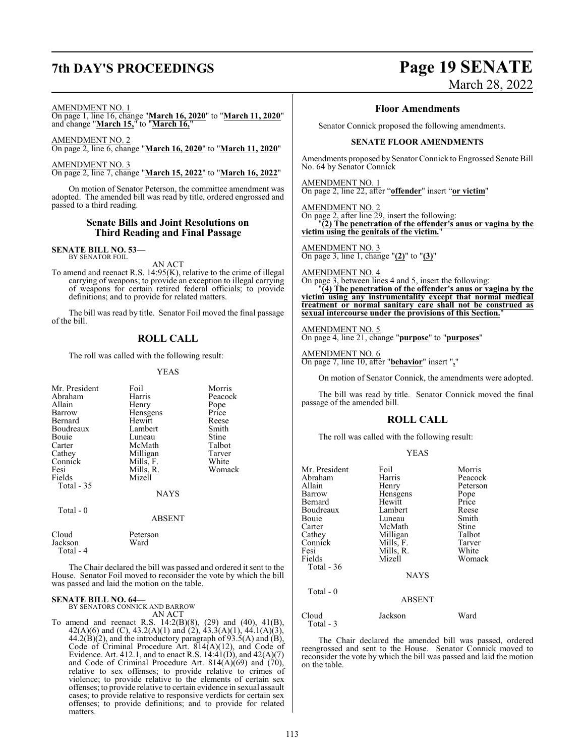## **7th DAY'S PROCEEDINGS Page 19 SENATE**

# March 28, 2022

### AMENDMENT NO. 1

On page 1, line 16, change "**March 16, 2020**" to "**March 11, 2020**" and change "**March 15,**" to "**March 16,**"

AMENDMENT NO. 2 On page 2, line 6, change "**March 16, 2020**" to "**March 11, 2020**"

AMENDMENT NO. 3 On page 2, line 7, change "**March 15, 2022**" to "**March 16, 2022**"

On motion of Senator Peterson, the committee amendment was adopted. The amended bill was read by title, ordered engrossed and passed to a third reading.

### **Senate Bills and Joint Resolutions on Third Reading and Final Passage**

**SENATE BILL NO. 53—** BY SENATOR FOIL

AN ACT

To amend and reenact R.S. 14:95(K), relative to the crime of illegal carrying of weapons; to provide an exception to illegal carrying of weapons for certain retired federal officials; to provide definitions; and to provide for related matters.

The bill was read by title. Senator Foil moved the final passage of the bill.

### **ROLL CALL**

The roll was called with the following result:

### YEAS

| Mr. President<br>Abraham<br>Allain<br>Barrow<br>Bernard<br>Boudreaux<br>Bouie<br>Carter<br>Cathey<br>Connick<br>Fesi<br>Fields<br>Total - 35 | Foil<br>Harris<br>Henry<br>Hensgens<br>Hewitt<br>Lambert<br>Luneau<br>McMath<br>Milligan<br>Mills, F.<br>Mills, R.<br>Mizell<br><b>NAYS</b> | Morris<br>Peacock<br>Pope<br>Price<br>Reese<br>Smith<br>Stine<br>Talbot<br>Tarver<br>White<br>Womack |
|----------------------------------------------------------------------------------------------------------------------------------------------|---------------------------------------------------------------------------------------------------------------------------------------------|------------------------------------------------------------------------------------------------------|
|                                                                                                                                              |                                                                                                                                             |                                                                                                      |
| Total - 0                                                                                                                                    | <b>ABSENT</b>                                                                                                                               |                                                                                                      |
| Cloud<br>Jackson                                                                                                                             | Peterson<br>Ward                                                                                                                            |                                                                                                      |

Total - 4

The Chair declared the bill was passed and ordered it sent to the House. Senator Foil moved to reconsider the vote by which the bill was passed and laid the motion on the table.

### **SENATE BILL NO. 64—**

BY SENATORS CONNICK AND BARROW AN ACT

To amend and reenact R.S. 14:2(B)(8), (29) and (40), 41(B), 42(A)(6) and (C), 43.2(A)(1) and (2), 43.3(A)(1), 44.1(A)(3),  $44.2(B)(2)$ , and the introductory paragraph of  $93.5(A)$  and  $(B)$ , Code of Criminal Procedure Art. 814(A)(12), and Code of Evidence. Art. 412.1, and to enact R.S.  $14:41(D)$ , and  $42(A)(7)$ and Code of Criminal Procedure Art.  $814(\overrightarrow{A})(69)$  and  $(70)$ , relative to sex offenses; to provide relative to crimes of violence; to provide relative to the elements of certain sex offenses; to provide relative to certain evidence in sexual assault cases; to provide relative to responsive verdicts for certain sex offenses; to provide definitions; and to provide for related matters.

### **Floor Amendments**

Senator Connick proposed the following amendments.

### **SENATE FLOOR AMENDMENTS**

Amendments proposed by Senator Connick to Engrossed Senate Bill No. 64 by Senator Connick

AMENDMENT NO. 1

On page 2, line 22, after "**offender**" insert "**or victim**"

AMENDMENT NO. 2

On page 2, after line 29, insert the following:

"**(2) The penetration of the offender's anus or vagina by the victim using the genitals of the victim.**"

AMENDMENT NO. 3 On page 3, line 1, change "**(2)**" to "**(3)**"

AMENDMENT NO. 4

On page 3, between lines 4 and 5, insert the following:

"**(4) The penetration of the offender's anus or vagina by the victim using any instrumentality except that normal medical treatment or normal sanitary care shall not be construed as sexual intercourse under the provisions of this Section.**"

AMENDMENT NO. 5 On page 4, line 21, change "**purpose**" to "**purposes**"

AMENDMENT NO. 6 On page 7, line 10, after "**behavior**" insert "**,**"

On motion of Senator Connick, the amendments were adopted.

The bill was read by title. Senator Connick moved the final passage of the amended bill.

### **ROLL CALL**

The roll was called with the following result:

### YEAS

| Mr. President<br>Abraham<br>Allain<br>Barrow<br>Bernard<br>Boudreaux<br>Bouie<br>Carter<br>Cathey<br>Connick<br>Fesi<br>Fields | Foil<br>Harris<br>Henry<br>Hensgens<br>Hewitt<br>Lambert<br>Luneau<br>McMath<br>Milligan<br>Mills, F.<br>Mills, R.<br>Mizell | Morris<br>Peacock<br>Peterson<br>Pope<br>Price<br>Reese<br>Smith<br>Stine<br>Talbot<br>Tarver<br>White<br>Womack |
|--------------------------------------------------------------------------------------------------------------------------------|------------------------------------------------------------------------------------------------------------------------------|------------------------------------------------------------------------------------------------------------------|
| Total - $36$                                                                                                                   | <b>NAYS</b>                                                                                                                  |                                                                                                                  |
| Total - 0                                                                                                                      | <b>ABSENT</b>                                                                                                                |                                                                                                                  |
| Cloud<br>Total - 3                                                                                                             | Jackson                                                                                                                      | Ward                                                                                                             |

The Chair declared the amended bill was passed, ordered reengrossed and sent to the House. Senator Connick moved to reconsider the vote by which the bill was passed and laid the motion on the table.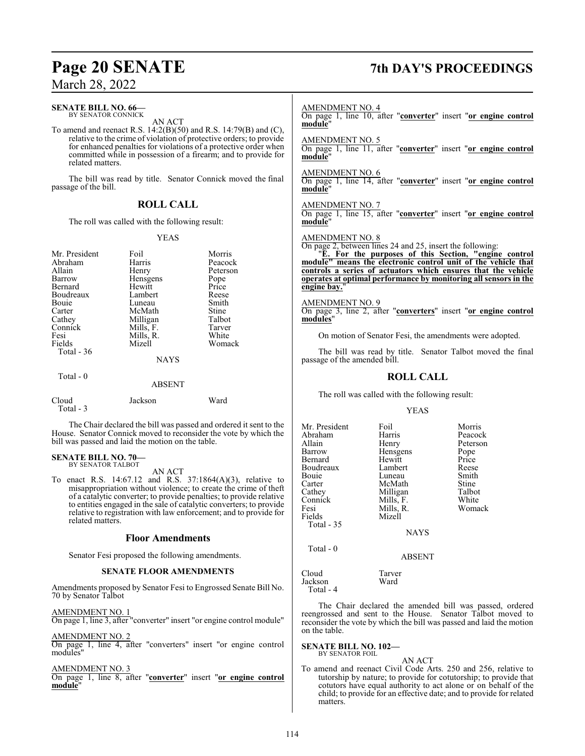### **SENATE BILL NO. 66—** BY SENATOR CONNICK

AN ACT

To amend and reenact R.S. 14:2(B)(50) and R.S. 14:79(B) and (C), relative to the crime of violation of protective orders; to provide for enhanced penalties for violations of a protective order when committed while in possession of a firearm; and to provide for related matters.

The bill was read by title. Senator Connick moved the final passage of the bill.

### **ROLL CALL**

The roll was called with the following result:

### YEAS

| Mr. President<br>Abraham<br>Allain<br>Barrow<br>Bernard<br>Boudreaux<br>Bouie<br>Carter<br>Cathey<br>Connick<br>Fesi<br>Fields<br>Total $-36$ | Foil<br>Harris<br>Henry<br>Hensgens<br>Hewitt<br>Lambert<br>Luneau<br>McMath<br>Milligan<br>Mills, F.<br>Mills, R.<br>Mizell<br><b>NAYS</b> | Morris<br>Peacock<br>Peterson<br>Pope<br>Price<br>Reese<br>Smith<br>Stine<br>Talbot<br>Tarver<br>White<br>Womack |
|-----------------------------------------------------------------------------------------------------------------------------------------------|---------------------------------------------------------------------------------------------------------------------------------------------|------------------------------------------------------------------------------------------------------------------|
| Total $-0$                                                                                                                                    | <b>ABSENT</b>                                                                                                                               |                                                                                                                  |
| Cloud                                                                                                                                         | Jackson                                                                                                                                     | Ward                                                                                                             |

The Chair declared the bill was passed and ordered it sent to the House. Senator Connick moved to reconsider the vote by which the bill was passed and laid the motion on the table.

### **SENATE BILL NO. 70—** BY SENATOR TALBOT

Total - 3

AN ACT

To enact R.S. 14:67.12 and R.S. 37:1864(A)(3), relative to misappropriation without violence; to create the crime of theft of a catalytic converter; to provide penalties; to provide relative to entities engaged in the sale of catalytic converters; to provide relative to registration with law enforcement; and to provide for related matters.

### **Floor Amendments**

Senator Fesi proposed the following amendments.

### **SENATE FLOOR AMENDMENTS**

Amendments proposed by Senator Fesi to Engrossed Senate Bill No. 70 by Senator Talbot

AMENDMENT NO. 1 On page 1, line 3, after "converter" insert "or engine control module"

AMENDMENT NO. 2

On page 1, line 4, after "converters" insert "or engine control modules"

AMENDMENT NO. 3

On page 1, line 8, after "**converter**" insert "**or engine control module**"

# **Page 20 SENATE 7th DAY'S PROCEEDINGS**

### AMENDMENT NO. 4

On page 1, line 10, after "**converter**" insert "**or engine control module**"

AMENDMENT NO. 5

On page 1, line 11, after "**converter**" insert "**or engine control module**"

AMENDMENT NO. 6

On page 1, line 14, after "**converter**" insert "**or engine control module**"

AMENDMENT NO. 7 On page 1, line 15, after "**converter**" insert "**or engine control module**"

## AMENDMENT NO. 8

On page 2, between lines 24 and 25, insert the following:

"**E. For the purposes of this Section, "engine control module" means the electronic control unit of the vehicle that controls a series of actuators which ensures that the vehicle operates at optimal performance by monitoring all sensors in the engine bay.**"

## AMENDMENT NO. 9

On page 3, line 2, after "**converters**" insert "**or engine control modules**"

On motion of Senator Fesi, the amendments were adopted.

The bill was read by title. Senator Talbot moved the final passage of the amended bill.

### **ROLL CALL**

The roll was called with the following result:

YEAS

| Mr. President | Foil        | Morris   |
|---------------|-------------|----------|
| Abraham       | Harris      | Peacock  |
| Allain        | Henry       | Peterson |
| Barrow        | Hensgens    | Pope     |
| Bernard       | Hewitt      | Price    |
| Boudreaux     | Lambert     | Reese    |
| <b>Bouje</b>  | Luneau      | Smith    |
| Carter        | McMath      | Stine    |
| Cathey        | Milligan    | Talbot   |
| Connick       | Mills, F.   | White    |
| Fesi          | Mills, R.   | Womack   |
| Fields        | Mizell      |          |
| Total $-35$   |             |          |
|               | <b>NAYS</b> |          |
| Total - 0     |             |          |

### ABSENT

Cloud Tarver Jackson Total - 4

The Chair declared the amended bill was passed, ordered reengrossed and sent to the House. Senator Talbot moved to reconsider the vote by which the bill was passed and laid the motion on the table.

**SENATE BILL NO. 102—** BY SENATOR FOIL

AN ACT

To amend and reenact Civil Code Arts. 250 and 256, relative to tutorship by nature; to provide for cotutorship; to provide that cotutors have equal authority to act alone or on behalf of the child; to provide for an effective date; and to provide for related matters.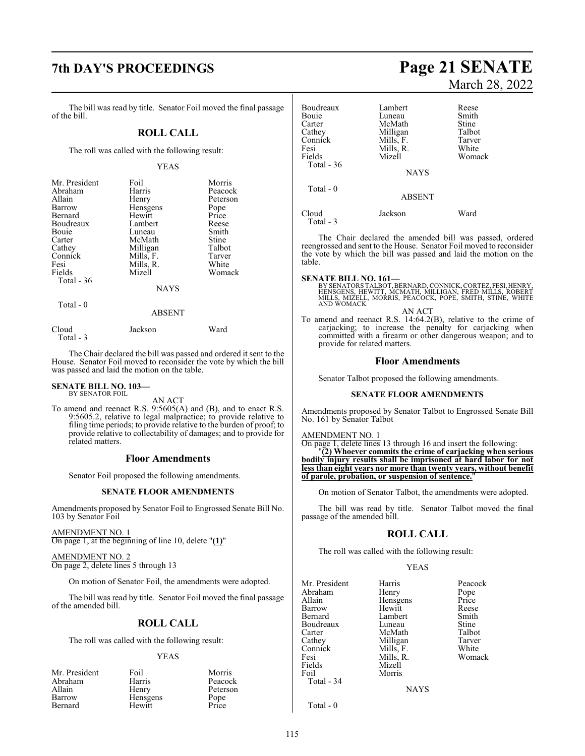## **7th DAY'S PROCEEDINGS Page 21 SENATE**

The bill was read by title. Senator Foil moved the final passage of the bill.

### **ROLL CALL**

The roll was called with the following result:

### YEAS

| Mr. President | Foil        | Morris   |
|---------------|-------------|----------|
| Abraham       | Harris      | Peacock  |
| Allain        | Henry       | Peterson |
| Barrow        | Hensgens    | Pope     |
| Bernard       | Hewitt      | Price    |
| Boudreaux     | Lambert     | Reese    |
| Bouie         | Luneau      | Smith    |
| Carter        | McMath      | Stine    |
| Cathey        | Milligan    | Talbot   |
| Connick       | Mills, F.   | Tarver   |
| Fesi          | Mills, R.   | White    |
| Fields        | Mizell      | Womack   |
| Total - 36    |             |          |
|               | <b>NAYS</b> |          |
|               |             |          |

Total - 0

### ABSENT

| Cloud     | Jackson | Ward |
|-----------|---------|------|
| Total - 3 |         |      |

The Chair declared the bill was passed and ordered it sent to the House. Senator Foil moved to reconsider the vote by which the bill was passed and laid the motion on the table.

## **SENATE BILL NO. 103—** BY SENATOR FOIL

AN ACT

To amend and reenact R.S. 9:5605(A) and (B), and to enact R.S. 9:5605.2, relative to legal malpractice; to provide relative to filing time periods; to provide relative to the burden of proof; to provide relative to collectability of damages; and to provide for related matters.

### **Floor Amendments**

Senator Foil proposed the following amendments.

### **SENATE FLOOR AMENDMENTS**

Amendments proposed by Senator Foil to Engrossed Senate Bill No. 103 by Senator Foil

### AMENDMENT NO. 1

On page 1, at the beginning of line 10, delete "**(1)**"

### AMENDMENT NO. 2

On page 2, delete lines 5 through 13

On motion of Senator Foil, the amendments were adopted.

The bill was read by title. Senator Foil moved the final passage of the amended bill.

### **ROLL CALL**

The roll was called with the following result:

### YEAS

| Mr. President | Foil            | Morris        |
|---------------|-----------------|---------------|
| Abraham       | Harris          | Peacock       |
| Allain        | Henry           | Peterson      |
| Barrow        | <b>Hensgens</b> |               |
| Bernard       | Hewitt          | Pope<br>Price |

# March 28, 2022

| Boudreaux          | Lambert       | Reese  |
|--------------------|---------------|--------|
| Bouie              | Luneau        | Smith  |
| Carter             | McMath        | Stine  |
| Cathey             | Milligan      | Talbot |
| Connick            | Mills, F.     | Tarver |
| Fesi               | Mills, R.     | White  |
| Fields             | Mizell        | Womack |
| Total $-36$        | <b>NAYS</b>   |        |
| Total $-0$         | <b>ABSENT</b> |        |
| Cloud<br>Total - 3 | Jackson       | Ward   |

The Chair declared the amended bill was passed, ordered reengrossed and sent to the House. Senator Foil moved to reconsider the vote by which the bill was passed and laid the motion on the table.

**SENATE BILL NO. 161—**<br>BY SENATORS TALBOT, BERNARD, CONNICK, CORTEZ, FESI, HENRY,<br>HENSGENS, HEWITT, MCMATH, MILLIGAN, FRED MILLS, ROBERT<br>MILLS, MIZELL, MORRIS, PEACOCK, POPE, SMITH, STINE, WHITE AND WOMACK

### AN ACT

To amend and reenact R.S. 14:64.2(B), relative to the crime of carjacking; to increase the penalty for carjacking when committed with a firearm or other dangerous weapon; and to provide for related matters.

### **Floor Amendments**

Senator Talbot proposed the following amendments.

### **SENATE FLOOR AMENDMENTS**

Amendments proposed by Senator Talbot to Engrossed Senate Bill No. 161 by Senator Talbot

### AMENDMENT NO. 1

On page 1, delete lines 13 through 16 and insert the following: "**(2) Whoever commits the crime of carjacking when serious bodily injury results shall be imprisoned at hard labor for not less than eight years nor more than twenty years, without benefit of parole, probation, or suspension of sentence.**"

On motion of Senator Talbot, the amendments were adopted.

The bill was read by title. Senator Talbot moved the final passage of the amended bill.

### **ROLL CALL**

The roll was called with the following result:

Morris

### YEAS

Mr. President Harris Peacock<br>Abraham Henry Pope Abraham Henry Pope<br>
Hensgens Price Allain Hensgens Price Barrow Hewitt Reese Bernard Lambert Smith<br>Boudreaux Luneau Stine Boudreaux Luneau Stine<br>Carter McMath Talbot Carter McMath Talbot<br>Cathev Milligan Tarver Connick Mills, F. White<br>
Fesi Mills, R. Womack Fesi Mills, R.<br>Fields Mizell Fields Mizell<br>Foil Morris Total - 34

Milligan Tarver<br>
Mills, F. White

NAYS

Total - 0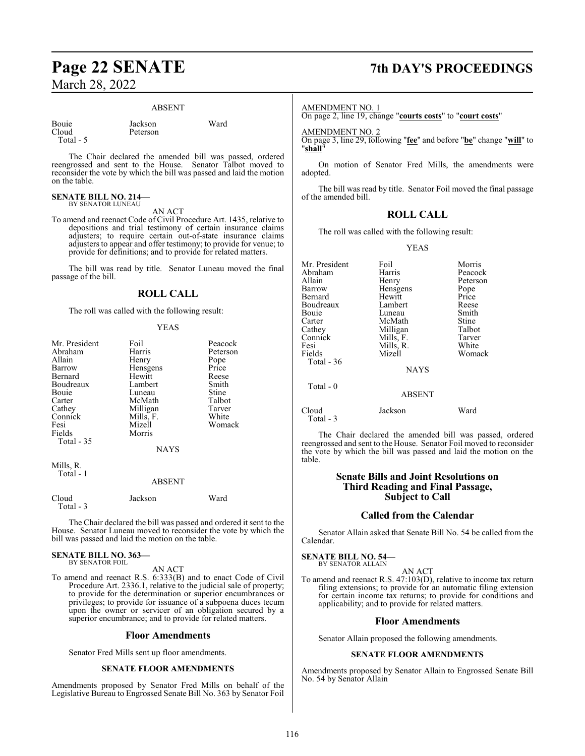### ABSENT

Bouie Jackson Ward<br>Cloud Peterson Total - 5

Peterson

The Chair declared the amended bill was passed, ordered reengrossed and sent to the House. Senator Talbot moved to reconsider the vote by which the bill was passed and laid the motion on the table.

### **SENATE BILL NO. 214—** BY SENATOR LUNEAU

AN ACT

To amend and reenact Code of Civil Procedure Art. 1435, relative to depositions and trial testimony of certain insurance claims adjusters; to require certain out-of-state insurance claims adjusters to appear and offer testimony; to provide for venue; to provide for definitions; and to provide for related matters.

The bill was read by title. Senator Luneau moved the final passage of the bill.

### **ROLL CALL**

The roll was called with the following result:

### YEAS

| Mr. President<br>Abraham<br>Allain<br>Barrow<br>Bernard<br>Boudreaux<br>Bouie<br>Carter<br>Cathey<br>Connick<br>Fesi<br>Fields<br>Total $-35$ | Foil<br>Harris<br>Henry<br>Hensgens<br>Hewitt<br>Lambert<br>Luneau<br>McMath<br>Milligan<br>Mills, F.<br>Mizell<br>Morris<br><b>NAYS</b> | Peacock<br>Peterson<br>Pope<br>Price<br>Reese<br>Smith<br>Stine<br>Talbot<br>Tarver<br>White<br>Womack |
|-----------------------------------------------------------------------------------------------------------------------------------------------|------------------------------------------------------------------------------------------------------------------------------------------|--------------------------------------------------------------------------------------------------------|
| Mills, R.<br>Total - 1                                                                                                                        | ABSENT                                                                                                                                   |                                                                                                        |

| Cloud<br>Total - 3 | Jackson | Ward |
|--------------------|---------|------|
|                    |         |      |

The Chair declared the bill was passed and ordered it sent to the House. Senator Luneau moved to reconsider the vote by which the bill was passed and laid the motion on the table.

### **SENATE BILL NO. 363—** BY SENATOR FOIL

### AN ACT

To amend and reenact R.S. 6:333(B) and to enact Code of Civil Procedure Art. 2336.1, relative to the judicial sale of property; to provide for the determination or superior encumbrances or privileges; to provide for issuance of a subpoena duces tecum upon the owner or servicer of an obligation secured by a superior encumbrance; and to provide for related matters.

### **Floor Amendments**

Senator Fred Mills sent up floor amendments.

### **SENATE FLOOR AMENDMENTS**

Amendments proposed by Senator Fred Mills on behalf of the Legislative Bureau to Engrossed Senate Bill No. 363 by Senator Foil

## **Page 22 SENATE 7th DAY'S PROCEEDINGS**

### AMENDMENT NO. 1

On page 2, line 19, change "**courts costs**" to "**court costs**"

AMENDMENT NO. 2

On page 3, line 29, following "**fee**" and before "**be**" change "**will**" to "**shall**"

On motion of Senator Fred Mills, the amendments were adopted.

The bill was read by title. Senator Foil moved the final passage of the amended bill.

### **ROLL CALL**

The roll was called with the following result:

YEAS

| Mr. President<br>Abraham<br>Allain<br>Barrow<br>Bernard<br>Boudreaux<br>Bouie<br>Carter<br>Cathey<br>Connick<br>Fesi<br>Fields<br>Total - 36 | Foil<br>Harris<br>Henry<br>Hensgens<br>Hewitt<br>Lambert<br>Luneau<br>McMath<br>Milligan<br>Mills, F.<br>Mills, R.<br>Mizell<br><b>NAYS</b> | Morris<br>Peacock<br>Peterson<br>Pope<br>Price<br>Reese<br>Smith<br>Stine<br>Talbot<br>Tarver<br>White<br>Womack |
|----------------------------------------------------------------------------------------------------------------------------------------------|---------------------------------------------------------------------------------------------------------------------------------------------|------------------------------------------------------------------------------------------------------------------|
| Total - 0                                                                                                                                    | <b>ABSENT</b>                                                                                                                               |                                                                                                                  |
| Cloud<br>$Total - 3$                                                                                                                         | Jackson                                                                                                                                     | Ward                                                                                                             |

The Chair declared the amended bill was passed, ordered reengrossed and sent to the House. Senator Foil moved to reconsider the vote by which the bill was passed and laid the motion on the table.

### **Senate Bills and Joint Resolutions on Third Reading and Final Passage, Subject to Call**

### **Called from the Calendar**

Senator Allain asked that Senate Bill No. 54 be called from the Calendar.

**SENATE BILL NO. 54—** BY SENATOR ALLAIN

### AN ACT To amend and reenact R.S. 47:103(D), relative to income tax return filing extensions; to provide for an automatic filing extension for certain income tax returns; to provide for conditions and applicability; and to provide for related matters.

### **Floor Amendments**

Senator Allain proposed the following amendments.

### **SENATE FLOOR AMENDMENTS**

Amendments proposed by Senator Allain to Engrossed Senate Bill No. 54 by Senator Allain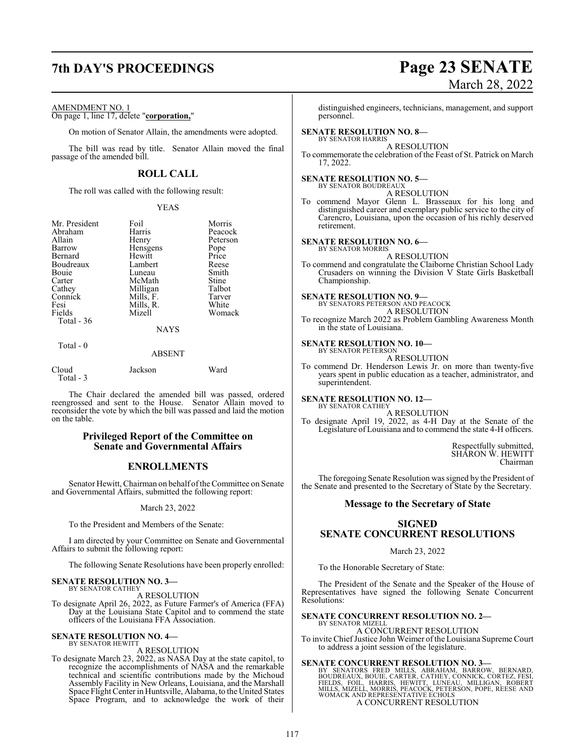## **7th DAY'S PROCEEDINGS Page 23 SENATE**

### AMENDMENT NO. 1

On page 1, line 17, delete "**corporation,**"

On motion of Senator Allain, the amendments were adopted.

The bill was read by title. Senator Allain moved the final passage of the amended bill.

### **ROLL CALL**

The roll was called with the following result:

### YEAS

| Mr. President | Foil        | Morris   |  |
|---------------|-------------|----------|--|
| Abraham       | Harris      | Peacock  |  |
| Allain        | Henry       | Peterson |  |
| Barrow        | Hensgens    | Pope     |  |
| Bernard       | Hewitt      | Price    |  |
| Boudreaux     | Lambert     | Reese    |  |
| Bouie         | Luneau      | Smith    |  |
| Carter        | McMath      | Stine    |  |
| Cathey        | Milligan    | Talbot   |  |
| Connick       | Mills, F.   | Tarver   |  |
| Fesi          | Mills, R.   | White    |  |
| Fields        | Mizell      | Womack   |  |
| Total - 36    |             |          |  |
|               | <b>NAYS</b> |          |  |

Total - 0

### ABSENT

| Cloud     | Jackson | Ward |
|-----------|---------|------|
| Total - 3 |         |      |

The Chair declared the amended bill was passed, ordered reengrossed and sent to the House. Senator Allain moved to reconsider the vote by which the bill was passed and laid the motion on the table.

### **Privileged Report of the Committee on Senate and Governmental Affairs**

### **ENROLLMENTS**

Senator Hewitt, Chairman on behalf of the Committee on Senate and Governmental Affairs, submitted the following report:

March 23, 2022

To the President and Members of the Senate:

I am directed by your Committee on Senate and Governmental Affairs to submit the following report:

The following Senate Resolutions have been properly enrolled:

### **SENATE RESOLUTION NO. 3—** BY SENATOR CATHEY

A RESOLUTION

To designate April 26, 2022, as Future Farmer's of America (FFA) Day at the Louisiana State Capitol and to commend the state officers of the Louisiana FFA Association.

### **SENATE RESOLUTION NO. 4—** BY SENATOR HEWITT

### A RESOLUTION

To designate March 23, 2022, as NASA Day at the state capitol, to recognize the accomplishments of NASA and the remarkable technical and scientific contributions made by the Michoud Assembly Facility in New Orleans, Louisiana, and the Marshall Space Flight Center in Huntsville, Alabama, to the United States Space Program, and to acknowledge the work of their

# March 28, 2022

distinguished engineers, technicians, management, and support personnel.

### **SENATE RESOLUTION NO. 8—** BY SENATOR HARRIS

A RESOLUTION

To commemorate the celebration of the Feast of St. Patrick on March 17, 2022.

### **SENATE RESOLUTION NO. 5—**

BY SENATOR BOUDREAUX A RESOLUTION

To commend Mayor Glenn L. Brasseaux for his long and distinguished career and exemplary public service to the city of Carencro, Louisiana, upon the occasion of his richly deserved retirement.

### **SENATE RESOLUTION NO. 6—** BY SENATOR MORRIS

A RESOLUTION

To commend and congratulate the Claiborne Christian School Lady Crusaders on winning the Division V State Girls Basketball Championship.

**SENATE RESOLUTION NO. 9—**

BY SENATORS PETERSON AND PEACOCK

A RESOLUTION To recognize March 2022 as Problem Gambling Awareness Month in the state of Louisiana.

### **SENATE RESOLUTION NO. 10—** BY SENATOR PETERSON

A RESOLUTION

To commend Dr. Henderson Lewis Jr. on more than twenty-five years spent in public education as a teacher, administrator, and superintendent.

### **SENATE RESOLUTION NO. 12—** BY SENATOR CATHEY

A RESOLUTION

To designate April 19, 2022, as 4-H Day at the Senate of the Legislature of Louisiana and to commend the state 4-H officers.

> Respectfully submitted, SHARON W. HEWITT Chairman

The foregoing Senate Resolution was signed by the President of the Senate and presented to the Secretary of State by the Secretary.

### **Message to the Secretary of State**

### **SIGNED SENATE CONCURRENT RESOLUTIONS**

### March 23, 2022

To the Honorable Secretary of State:

The President of the Senate and the Speaker of the House of Representatives have signed the following Senate Concurrent Resolutions:

### **SENATE CONCURRENT RESOLUTION NO. 2—**

BY SENATOR MIZELL A CONCURRENT RESOLUTION

To invite ChiefJustice John Weimer ofthe Louisiana Supreme Court to address a joint session of the legislature.

### **SENATE CONCURRENT RESOLUTION NO. 3—**

BY SENATORS FRED MILLS, ABRAHAM, BARROW, BERNARD,<br>BOUDREAUX,BOUIE,CARTER,CATHEY,CONNICK,CORTEZ,FESI,<br>FIELDS, FOIL, HARRIS, HEWITT, LUNEAU, MILLIGAN, ROBERT<br>MILLS,MIZELL,MORRIS,PEACOCK,PETERSON,POPE,REESE AND<br>WOMACK AND REP A CONCURRENT RESOLUTION